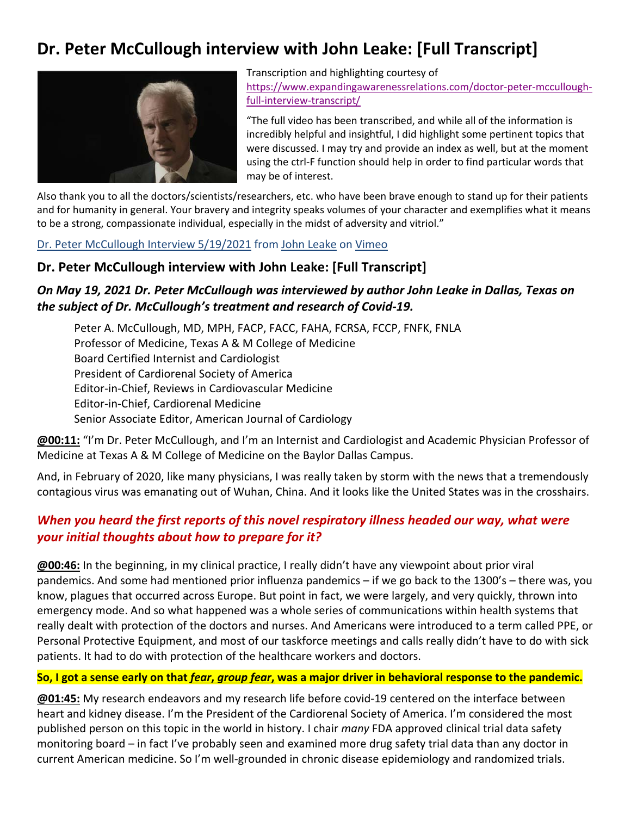# **Dr. Peter McCullough interview with John Leake: [Full Transcript]**



Transcription and highlighting courtesy of https://www.expandingawarenessrelations.com/doctor‐peter‐mccullough‐ full‐interview‐transcript/

"The full video has been transcribed, and while all of the information is incredibly helpful and insightful, I did highlight some pertinent topics that were discussed. I may try and provide an index as well, but at the moment using the ctrl‐F function should help in order to find particular words that may be of interest.

Also thank you to all the doctors/scientists/researchers, etc. who have been brave enough to stand up for their patients and for humanity in general. Your bravery and integrity speaks volumes of your character and exemplifies what it means to be a strong, compassionate individual, especially in the midst of adversity and vitriol."

Dr. Peter McCullough Interview 5/19/2021 from John Leake on Vimeo

#### **Dr. Peter McCullough interview with John Leake: [Full Transcript]**

## *On May 19, 2021 Dr. Peter McCullough was interviewed by author John Leake in Dallas, Texas on the subject of Dr. McCullough's treatment and research of Covid‐19.*

Peter A. McCullough, MD, MPH, FACP, FACC, FAHA, FCRSA, FCCP, FNFK, FNLA Professor of Medicine, Texas A & M College of Medicine Board Certified Internist and Cardiologist President of Cardiorenal Society of America Editor‐in‐Chief, Reviews in Cardiovascular Medicine Editor‐in‐Chief, Cardiorenal Medicine Senior Associate Editor, American Journal of Cardiology

**@00:11:** "I'm Dr. Peter McCullough, and I'm an Internist and Cardiologist and Academic Physician Professor of Medicine at Texas A & M College of Medicine on the Baylor Dallas Campus.

And, in February of 2020, like many physicians, I was really taken by storm with the news that a tremendously contagious virus was emanating out of Wuhan, China. And it looks like the United States was in the crosshairs.

# *When you heard the first reports of this novel respiratory illness headed our way, what were your initial thoughts about how to prepare for it?*

**@00:46:** In the beginning, in my clinical practice, I really didn't have any viewpoint about prior viral pandemics. And some had mentioned prior influenza pandemics – if we go back to the 1300's – there was, you know, plagues that occurred across Europe. But point in fact, we were largely, and very quickly, thrown into emergency mode. And so what happened was a whole series of communications within health systems that really dealt with protection of the doctors and nurses. And Americans were introduced to a term called PPE, or Personal Protective Equipment, and most of our taskforce meetings and calls really didn't have to do with sick patients. It had to do with protection of the healthcare workers and doctors.

#### **So, I got a sense early on that** *fear***,** *group fear***, was a major driver in behavioral response to the pandemic.**

**@01:45:** My research endeavors and my research life before covid‐19 centered on the interface between heart and kidney disease. I'm the President of the Cardiorenal Society of America. I'm considered the most published person on this topic in the world in history. I chair *many* FDA approved clinical trial data safety monitoring board – in fact I've probably seen and examined more drug safety trial data than any doctor in current American medicine. So I'm well‐grounded in chronic disease epidemiology and randomized trials.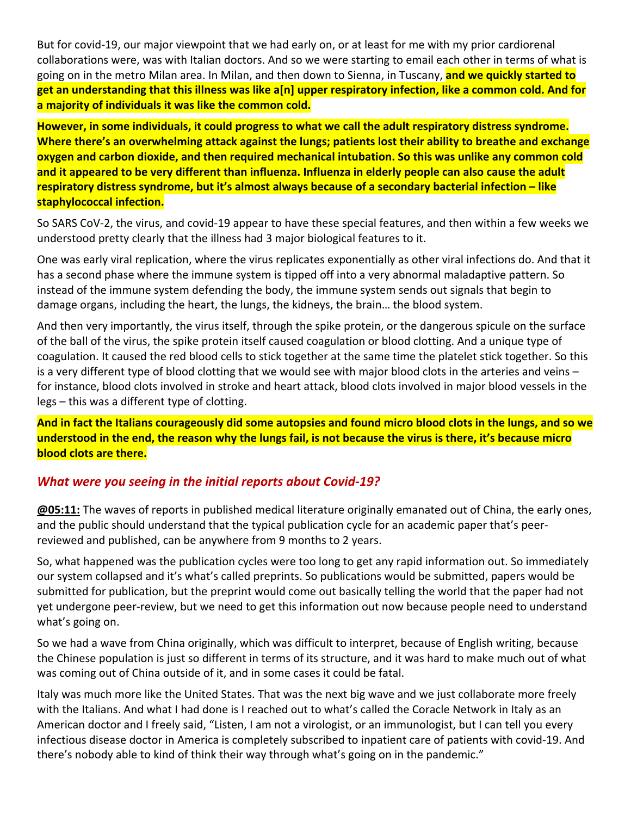But for covid‐19, our major viewpoint that we had early on, or at least for me with my prior cardiorenal collaborations were, was with Italian doctors. And so we were starting to email each other in terms of what is going on in the metro Milan area. In Milan, and then down to Sienna, in Tuscany, **and we quickly started to get an understanding that this illness was like a[n] upper respiratory infection, like a common cold. And for a majority of individuals it was like the common cold.**

**However, in some individuals, it could progress to what we call the adult respiratory distress syndrome. Where there's an overwhelming attack against the lungs; patients lost their ability to breathe and exchange oxygen and carbon dioxide, and then required mechanical intubation. So this was unlike any common cold and it appeared to be very different than influenza. Influenza in elderly people can also cause the adult respiratory distress syndrome, but it's almost always because of a secondary bacterial infection – like staphylococcal infection.**

So SARS CoV‐2, the virus, and covid‐19 appear to have these special features, and then within a few weeks we understood pretty clearly that the illness had 3 major biological features to it.

One was early viral replication, where the virus replicates exponentially as other viral infections do. And that it has a second phase where the immune system is tipped off into a very abnormal maladaptive pattern. So instead of the immune system defending the body, the immune system sends out signals that begin to damage organs, including the heart, the lungs, the kidneys, the brain… the blood system.

And then very importantly, the virus itself, through the spike protein, or the dangerous spicule on the surface of the ball of the virus, the spike protein itself caused coagulation or blood clotting. And a unique type of coagulation. It caused the red blood cells to stick together at the same time the platelet stick together. So this is a very different type of blood clotting that we would see with major blood clots in the arteries and veins – for instance, blood clots involved in stroke and heart attack, blood clots involved in major blood vessels in the legs – this was a different type of clotting.

**And in fact the Italians courageously did some autopsies and found micro blood clots in the lungs, and so we understood in the end, the reason why the lungs fail, is not because the virus is there, it's because micro blood clots are there.**

#### *What were you seeing in the initial reports about Covid‐19?*

**@05:11:** The waves of reports in published medical literature originally emanated out of China, the early ones, and the public should understand that the typical publication cycle for an academic paper that's peer‐ reviewed and published, can be anywhere from 9 months to 2 years.

So, what happened was the publication cycles were too long to get any rapid information out. So immediately our system collapsed and it's what's called preprints. So publications would be submitted, papers would be submitted for publication, but the preprint would come out basically telling the world that the paper had not yet undergone peer‐review, but we need to get this information out now because people need to understand what's going on.

So we had a wave from China originally, which was difficult to interpret, because of English writing, because the Chinese population is just so different in terms of its structure, and it was hard to make much out of what was coming out of China outside of it, and in some cases it could be fatal.

Italy was much more like the United States. That was the next big wave and we just collaborate more freely with the Italians. And what I had done is I reached out to what's called the Coracle Network in Italy as an American doctor and I freely said, "Listen, I am not a virologist, or an immunologist, but I can tell you every infectious disease doctor in America is completely subscribed to inpatient care of patients with covid‐19. And there's nobody able to kind of think their way through what's going on in the pandemic."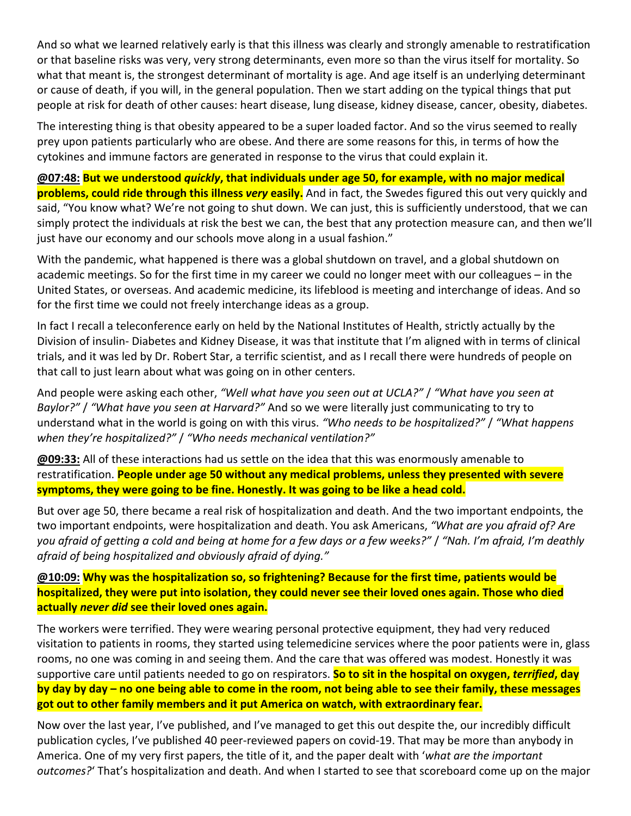And so what we learned relatively early is that this illness was clearly and strongly amenable to restratification or that baseline risks was very, very strong determinants, even more so than the virus itself for mortality. So what that meant is, the strongest determinant of mortality is age. And age itself is an underlying determinant or cause of death, if you will, in the general population. Then we start adding on the typical things that put people at risk for death of other causes: heart disease, lung disease, kidney disease, cancer, obesity, diabetes.

The interesting thing is that obesity appeared to be a super loaded factor. And so the virus seemed to really prey upon patients particularly who are obese. And there are some reasons for this, in terms of how the cytokines and immune factors are generated in response to the virus that could explain it.

**@07:48: But we understood** *quickly***, that individuals under age 50, for example, with no major medical problems, could ride through this illness** *very* **easily.** And in fact, the Swedes figured this out very quickly and said, "You know what? We're not going to shut down. We can just, this is sufficiently understood, that we can simply protect the individuals at risk the best we can, the best that any protection measure can, and then we'll just have our economy and our schools move along in a usual fashion."

With the pandemic, what happened is there was a global shutdown on travel, and a global shutdown on academic meetings. So for the first time in my career we could no longer meet with our colleagues – in the United States, or overseas. And academic medicine, its lifeblood is meeting and interchange of ideas. And so for the first time we could not freely interchange ideas as a group.

In fact I recall a teleconference early on held by the National Institutes of Health, strictly actually by the Division of insulin‐ Diabetes and Kidney Disease, it was that institute that I'm aligned with in terms of clinical trials, and it was led by Dr. Robert Star, a terrific scientist, and as I recall there were hundreds of people on that call to just learn about what was going on in other centers.

And people were asking each other, *"Well what have you seen out at UCLA?"* / *"What have you seen at Baylor?"* / *"What have you seen at Harvard?"* And so we were literally just communicating to try to understand what in the world is going on with this virus. *"Who needs to be hospitalized?"* / *"What happens when they're hospitalized?"* / *"Who needs mechanical ventilation?"*

**@09:33:** All of these interactions had us settle on the idea that this was enormously amenable to restratification. **People under age 50 without any medical problems, unless they presented with severe symptoms, they were going to be fine. Honestly. It was going to be like a head cold.**

But over age 50, there became a real risk of hospitalization and death. And the two important endpoints, the two important endpoints, were hospitalization and death. You ask Americans, *"What are you afraid of? Are you afraid of getting a cold and being at home for a few days or a few weeks?"* / *"Nah. I'm afraid, I'm deathly afraid of being hospitalized and obviously afraid of dying."*

#### **@10:09: Why was the hospitalization so, so frightening? Because for the first time, patients would be hospitalized, they were put into isolation, they could never see their loved ones again. Those who died actually** *never did* **see their loved ones again.**

The workers were terrified. They were wearing personal protective equipment, they had very reduced visitation to patients in rooms, they started using telemedicine services where the poor patients were in, glass rooms, no one was coming in and seeing them. And the care that was offered was modest. Honestly it was supportive care until patients needed to go on respirators. **So to sit in the hospital on oxygen,** *terrified***, day by day by day – no one being able to come in the room, not being able to see their family, these messages got out to other family members and it put America on watch, with extraordinary fear.**

Now over the last year, I've published, and I've managed to get this out despite the, our incredibly difficult publication cycles, I've published 40 peer‐reviewed papers on covid‐19. That may be more than anybody in America. One of my very first papers, the title of it, and the paper dealt with '*what are the important outcomes?*' That's hospitalization and death. And when I started to see that scoreboard come up on the major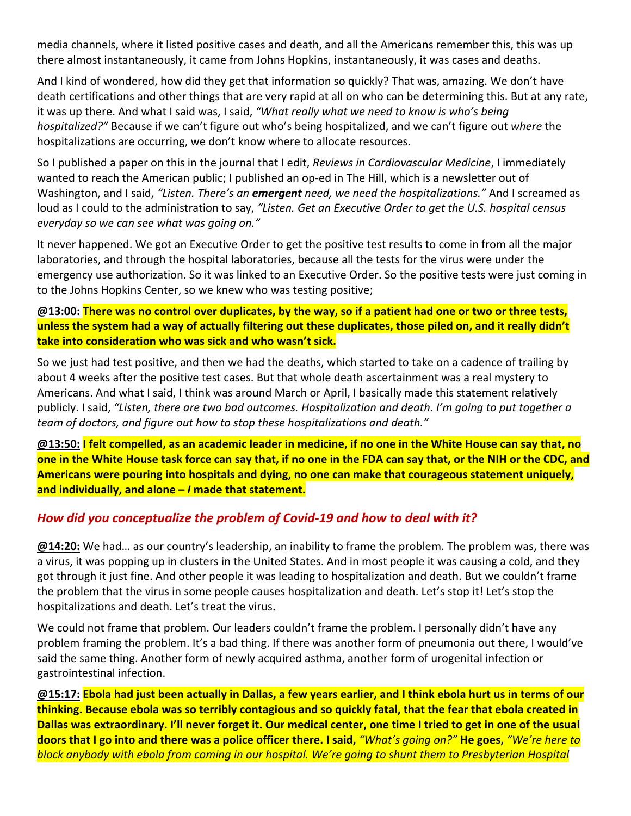media channels, where it listed positive cases and death, and all the Americans remember this, this was up there almost instantaneously, it came from Johns Hopkins, instantaneously, it was cases and deaths.

And I kind of wondered, how did they get that information so quickly? That was, amazing. We don't have death certifications and other things that are very rapid at all on who can be determining this. But at any rate, it was up there. And what I said was, I said, *"What really what we need to know is who's being hospitalized?"* Because if we can't figure out who's being hospitalized, and we can't figure out *where* the hospitalizations are occurring, we don't know where to allocate resources.

So I published a paper on this in the journal that I edit, *Reviews in Cardiovascular Medicine*, I immediately wanted to reach the American public; I published an op-ed in The Hill, which is a newsletter out of Washington, and I said, *"Listen. There's an emergent need, we need the hospitalizations."* And I screamed as loud as I could to the administration to say, *"Listen. Get an Executive Order to get the U.S. hospital census everyday so we can see what was going on."*

It never happened. We got an Executive Order to get the positive test results to come in from all the major laboratories, and through the hospital laboratories, because all the tests for the virus were under the emergency use authorization. So it was linked to an Executive Order. So the positive tests were just coming in to the Johns Hopkins Center, so we knew who was testing positive;

**@13:00: There was no control over duplicates, by the way, so if a patient had one or two or three tests, unless the system had a way of actually filtering out these duplicates, those piled on, and it really didn't take into consideration who was sick and who wasn't sick.**

So we just had test positive, and then we had the deaths, which started to take on a cadence of trailing by about 4 weeks after the positive test cases. But that whole death ascertainment was a real mystery to Americans. And what I said, I think was around March or April, I basically made this statement relatively publicly. I said, *"Listen, there are two bad outcomes. Hospitalization and death. I'm going to put together a team of doctors, and figure out how to stop these hospitalizations and death."*

**@13:50: I felt compelled, as an academic leader in medicine, if no one in the White House can say that, no one in the White House task force can say that, if no one in the FDA can say that, or the NIH or the CDC, and Americans were pouring into hospitals and dying, no one can make that courageous statement uniquely, and individually, and alone –** *I* **made that statement.**

# *How did you conceptualize the problem of Covid‐19 and how to deal with it?*

**@14:20:** We had… as our country's leadership, an inability to frame the problem. The problem was, there was a virus, it was popping up in clusters in the United States. And in most people it was causing a cold, and they got through it just fine. And other people it was leading to hospitalization and death. But we couldn't frame the problem that the virus in some people causes hospitalization and death. Let's stop it! Let's stop the hospitalizations and death. Let's treat the virus.

We could not frame that problem. Our leaders couldn't frame the problem. I personally didn't have any problem framing the problem. It's a bad thing. If there was another form of pneumonia out there, I would've said the same thing. Another form of newly acquired asthma, another form of urogenital infection or gastrointestinal infection.

**@15:17: Ebola had just been actually in Dallas, a few years earlier, and I think ebola hurt us in terms of our thinking. Because ebola was so terribly contagious and so quickly fatal, that the fear that ebola created in Dallas was extraordinary. I'll never forget it. Our medical center, one time I tried to get in one of the usual doors that I go into and there was a police officer there. I said,** *"What's going on?"* **He goes,** *"We're here to block anybody with ebola from coming in our hospital. We're going to shunt them to Presbyterian Hospital*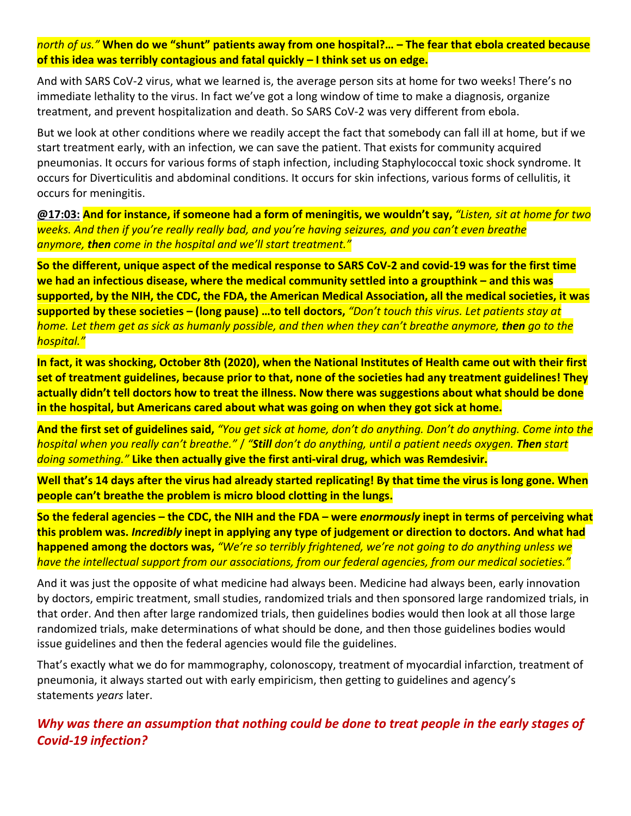*north of us."* **When do we "shunt" patients away from one hospital?… – The fear that ebola created because of this idea was terribly contagious and fatal quickly – I think set us on edge.**

And with SARS CoV‐2 virus, what we learned is, the average person sits at home for two weeks! There's no immediate lethality to the virus. In fact we've got a long window of time to make a diagnosis, organize treatment, and prevent hospitalization and death. So SARS CoV‐2 was very different from ebola.

But we look at other conditions where we readily accept the fact that somebody can fall ill at home, but if we start treatment early, with an infection, we can save the patient. That exists for community acquired pneumonias. It occurs for various forms of staph infection, including Staphylococcal toxic shock syndrome. It occurs for Diverticulitis and abdominal conditions. It occurs for skin infections, various forms of cellulitis, it occurs for meningitis.

**@17:03: And for instance, if someone had a form of meningitis, we wouldn't say,** *"Listen, sit at home for two weeks. And then if you're really really bad, and you're having seizures, and you can't even breathe anymore, then come in the hospital and we'll start treatment."*

**So the different, unique aspect of the medical response to SARS CoV‐2 and covid‐19 was for the first time we had an infectious disease, where the medical community settled into a groupthink – and this was supported, by the NIH, the CDC, the FDA, the American Medical Association, all the medical societies, it was supported by these societies – (long pause) …to tell doctors,** *"Don't touch this virus. Let patients stay at home. Let them get as sick as humanly possible, and then when they can't breathe anymore, then go to the hospital."*

**In fact, it was shocking, October 8th (2020), when the National Institutes of Health came out with their first set of treatment guidelines, because prior to that, none of the societies had any treatment guidelines! They actually didn't tell doctors how to treat the illness. Now there was suggestions about what should be done in the hospital, but Americans cared about what was going on when they got sick at home.**

**And the first set of guidelines said,** *"You get sick at home, don't do anything. Don't do anything. Come into the hospital when you really can't breathe."* / *"Still don't do anything, until a patient needs oxygen. Then start doing something."* **Like then actually give the first anti‐viral drug, which was Remdesivir.**

**Well that's 14 days after the virus had already started replicating! By that time the virus is long gone. When people can't breathe the problem is micro blood clotting in the lungs.**

**So the federal agencies – the CDC, the NIH and the FDA – were** *enormously* **inept in terms of perceiving what this problem was.** *Incredibly* **inept in applying any type of judgement or direction to doctors. And what had happened among the doctors was,** *"We're so terribly frightened, we're not going to do anything unless we have the intellectual support from our associations, from our federal agencies, from our medical societies."*

And it was just the opposite of what medicine had always been. Medicine had always been, early innovation by doctors, empiric treatment, small studies, randomized trials and then sponsored large randomized trials, in that order. And then after large randomized trials, then guidelines bodies would then look at all those large randomized trials, make determinations of what should be done, and then those guidelines bodies would issue guidelines and then the federal agencies would file the guidelines.

That's exactly what we do for mammography, colonoscopy, treatment of myocardial infarction, treatment of pneumonia, it always started out with early empiricism, then getting to guidelines and agency's statements *years* later.

*Why was there an assumption that nothing could be done to treat people in the early stages of Covid‐19 infection?*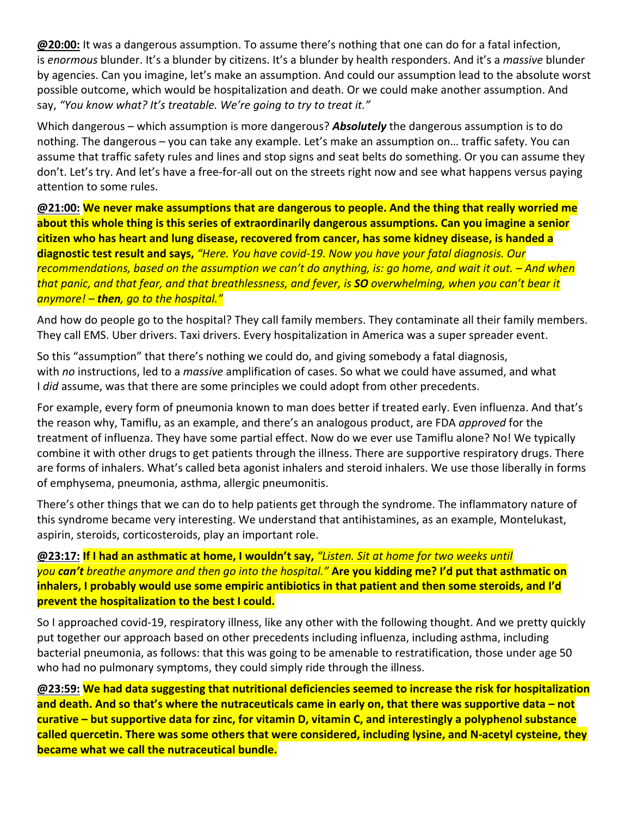**@20:00:** It was a dangerous assumption. To assume there's nothing that one can do for a fatal infection, is *enormous* blunder. It's a blunder by citizens. It's a blunder by health responders. And it's a *massive* blunder by agencies. Can you imagine, let's make an assumption. And could our assumption lead to the absolute worst possible outcome, which would be hospitalization and death. Or we could make another assumption. And say, *"You know what? It's treatable. We're going to try to treat it."*

Which dangerous – which assumption is more dangerous? *Absolutely* the dangerous assumption is to do nothing. The dangerous – you can take any example. Let's make an assumption on… traffic safety. You can assume that traffic safety rules and lines and stop signs and seat belts do something. Or you can assume they don't. Let's try. And let's have a free‐for‐all out on the streets right now and see what happens versus paying attention to some rules.

**@21:00: We never make assumptions that are dangerous to people. And the thing that really worried me about this whole thing is this series of extraordinarily dangerous assumptions. Can you imagine a senior citizen who has heart and lung disease, recovered from cancer, has some kidney disease, is handed a diagnostic test result and says,** *"Here. You have covid‐19. Now you have your fatal diagnosis. Our recommendations, based on the assumption we can't do anything, is: go home, and wait it out. – And when that panic, and that fear, and that breathlessness, and fever, is SO overwhelming, when you can't bear it anymore! – then, go to the hospital."*

And how do people go to the hospital? They call family members. They contaminate all their family members. They call EMS. Uber drivers. Taxi drivers. Every hospitalization in America was a super spreader event.

So this "assumption" that there's nothing we could do, and giving somebody a fatal diagnosis, with *no* instructions, led to a *massive* amplification of cases. So what we could have assumed, and what I *did* assume, was that there are some principles we could adopt from other precedents.

For example, every form of pneumonia known to man does better if treated early. Even influenza. And that's the reason why, Tamiflu, as an example, and there's an analogous product, are FDA *approved* for the treatment of influenza. They have some partial effect. Now do we ever use Tamiflu alone? No! We typically combine it with other drugs to get patients through the illness. There are supportive respiratory drugs. There are forms of inhalers. What's called beta agonist inhalers and steroid inhalers. We use those liberally in forms of emphysema, pneumonia, asthma, allergic pneumonitis.

There's other things that we can do to help patients get through the syndrome. The inflammatory nature of this syndrome became very interesting. We understand that antihistamines, as an example, Montelukast, aspirin, steroids, corticosteroids, play an important role.

#### **@23:17: If I had an asthmatic at home, I wouldn't say,** *"Listen. Sit at home for two weeks until you can't breathe anymore and then go into the hospital."* **Are you kidding me? I'd put that asthmatic on inhalers, I probably would use some empiric antibiotics in that patient and then some steroids, and I'd prevent the hospitalization to the best I could.**

So I approached covid‐19, respiratory illness, like any other with the following thought. And we pretty quickly put together our approach based on other precedents including influenza, including asthma, including bacterial pneumonia, as follows: that this was going to be amenable to restratification, those under age 50 who had no pulmonary symptoms, they could simply ride through the illness.

**@23:59: We had data suggesting that nutritional deficiencies seemed to increase the risk for hospitalization and death. And so that's where the nutraceuticals came in early on, that there was supportive data – not curative – but supportive data for zinc, for vitamin D, vitamin C, and interestingly a polyphenol substance called quercetin. There was some others that were considered, including lysine, and N‐acetyl cysteine, they became what we call the nutraceutical bundle.**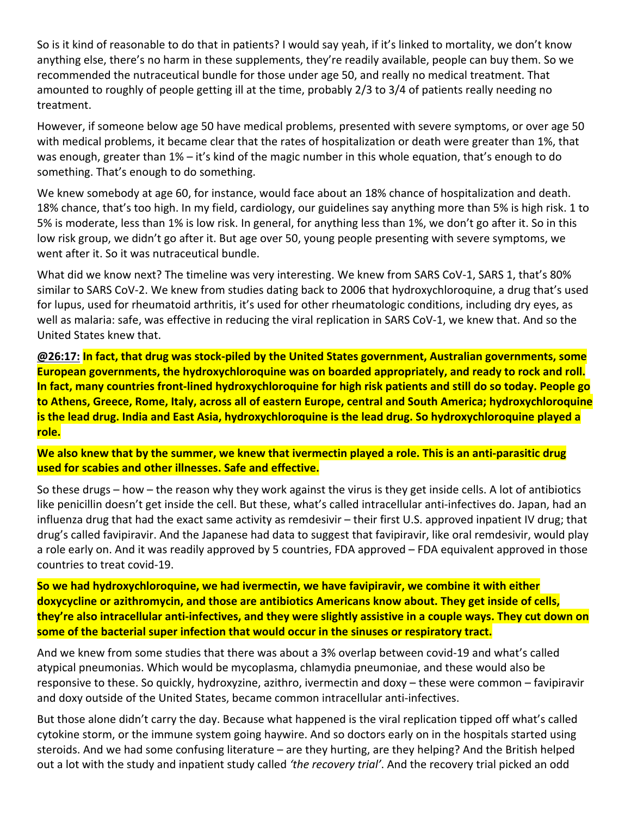So is it kind of reasonable to do that in patients? I would say yeah, if it's linked to mortality, we don't know anything else, there's no harm in these supplements, they're readily available, people can buy them. So we recommended the nutraceutical bundle for those under age 50, and really no medical treatment. That amounted to roughly of people getting ill at the time, probably 2/3 to 3/4 of patients really needing no treatment.

However, if someone below age 50 have medical problems, presented with severe symptoms, or over age 50 with medical problems, it became clear that the rates of hospitalization or death were greater than 1%, that was enough, greater than 1% – it's kind of the magic number in this whole equation, that's enough to do something. That's enough to do something.

We knew somebody at age 60, for instance, would face about an 18% chance of hospitalization and death. 18% chance, that's too high. In my field, cardiology, our guidelines say anything more than 5% is high risk. 1 to 5% is moderate, less than 1% is low risk. In general, for anything less than 1%, we don't go after it. So in this low risk group, we didn't go after it. But age over 50, young people presenting with severe symptoms, we went after it. So it was nutraceutical bundle.

What did we know next? The timeline was very interesting. We knew from SARS CoV-1, SARS 1, that's 80% similar to SARS CoV‐2. We knew from studies dating back to 2006 that hydroxychloroquine, a drug that's used for lupus, used for rheumatoid arthritis, it's used for other rheumatologic conditions, including dry eyes, as well as malaria: safe, was effective in reducing the viral replication in SARS CoV-1, we knew that. And so the United States knew that.

**@26:17: In fact, that drug was stock‐piled by the United States government, Australian governments, some European governments, the hydroxychloroquine was on boarded appropriately, and ready to rock and roll. In fact, many countries front‐lined hydroxychloroquine for high risk patients and still do so today. People go to Athens, Greece, Rome, Italy, across all of eastern Europe, central and South America; hydroxychloroquine is the lead drug. India and East Asia, hydroxychloroquine is the lead drug. So hydroxychloroquine played a role.**

**We also knew that by the summer, we knew that ivermectin played a role. This is an anti‐parasitic drug used for scabies and other illnesses. Safe and effective.**

So these drugs – how – the reason why they work against the virus is they get inside cells. A lot of antibiotics like penicillin doesn't get inside the cell. But these, what's called intracellular anti-infectives do. Japan, had an influenza drug that had the exact same activity as remdesivir – their first U.S. approved inpatient IV drug; that drug's called favipiravir. And the Japanese had data to suggest that favipiravir, like oral remdesivir, would play a role early on. And it was readily approved by 5 countries, FDA approved – FDA equivalent approved in those countries to treat covid‐19.

**So we had hydroxychloroquine, we had ivermectin, we have favipiravir, we combine it with either doxycycline or azithromycin, and those are antibiotics Americans know about. They get inside of cells, they're also intracellular anti‐infectives, and they were slightly assistive in a couple ways. They cut down on some of the bacterial super infection that would occur in the sinuses or respiratory tract.**

And we knew from some studies that there was about a 3% overlap between covid‐19 and what's called atypical pneumonias. Which would be mycoplasma, chlamydia pneumoniae, and these would also be responsive to these. So quickly, hydroxyzine, azithro, ivermectin and doxy – these were common – favipiravir and doxy outside of the United States, became common intracellular anti-infectives.

But those alone didn't carry the day. Because what happened is the viral replication tipped off what's called cytokine storm, or the immune system going haywire. And so doctors early on in the hospitals started using steroids. And we had some confusing literature – are they hurting, are they helping? And the British helped out a lot with the study and inpatient study called *'the recovery trial'*. And the recovery trial picked an odd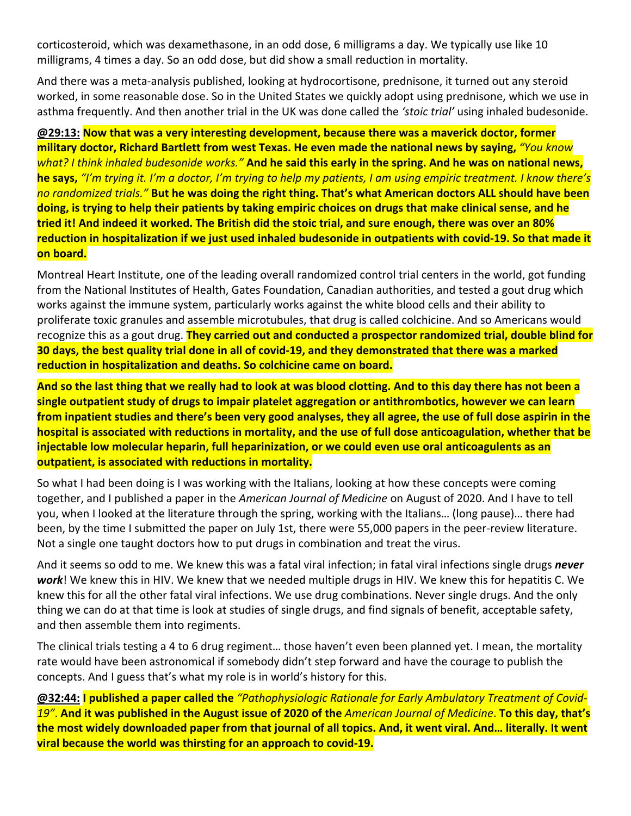corticosteroid, which was dexamethasone, in an odd dose, 6 milligrams a day. We typically use like 10 milligrams, 4 times a day. So an odd dose, but did show a small reduction in mortality.

And there was a meta‐analysis published, looking at hydrocortisone, prednisone, it turned out any steroid worked, in some reasonable dose. So in the United States we quickly adopt using prednisone, which we use in asthma frequently. And then another trial in the UK was done called the *'stoic trial'* using inhaled budesonide.

**@29:13: Now that was a very interesting development, because there was a maverick doctor, former military doctor, Richard Bartlett from west Texas. He even made the national news by saying,** *"You know what? I think inhaled budesonide works."* **And he said this early in the spring. And he was on national news, he says,** *"I'm trying it. I'm a doctor, I'm trying to help my patients, I am using empiric treatment. I know there's no randomized trials."* **But he was doing the right thing. That's what American doctors ALL should have been doing, is trying to help their patients by taking empiric choices on drugs that make clinical sense, and he tried it! And indeed it worked. The British did the stoic trial, and sure enough, there was over an 80% reduction in hospitalization if we just used inhaled budesonide in outpatients with covid‐19. So that made it on board.**

Montreal Heart Institute, one of the leading overall randomized control trial centers in the world, got funding from the National Institutes of Health, Gates Foundation, Canadian authorities, and tested a gout drug which works against the immune system, particularly works against the white blood cells and their ability to proliferate toxic granules and assemble microtubules, that drug is called colchicine. And so Americans would recognize this as a gout drug. **They carried out and conducted a prospector randomized trial, double blind for 30 days, the best quality trial done in all of covid‐19, and they demonstrated that there was a marked reduction in hospitalization and deaths. So colchicine came on board.**

**And so the last thing that we really had to look at was blood clotting. And to this day there has not been a single outpatient study of drugs to impair platelet aggregation or antithrombotics, however we can learn from inpatient studies and there's been very good analyses, they all agree, the use of full dose aspirin in the hospital is associated with reductions in mortality, and the use of full dose anticoagulation, whether that be injectable low molecular heparin, full heparinization, or we could even use oral anticoagulents as an outpatient, is associated with reductions in mortality.**

So what I had been doing is I was working with the Italians, looking at how these concepts were coming together, and I published a paper in the *American Journal of Medicine* on August of 2020. And I have to tell you, when I looked at the literature through the spring, working with the Italians… (long pause)… there had been, by the time I submitted the paper on July 1st, there were 55,000 papers in the peer-review literature. Not a single one taught doctors how to put drugs in combination and treat the virus.

And it seems so odd to me. We knew this was a fatal viral infection; in fatal viral infections single drugs *never work*! We knew this in HIV. We knew that we needed multiple drugs in HIV. We knew this for hepatitis C. We knew this for all the other fatal viral infections. We use drug combinations. Never single drugs. And the only thing we can do at that time is look at studies of single drugs, and find signals of benefit, acceptable safety, and then assemble them into regiments.

The clinical trials testing a 4 to 6 drug regiment… those haven't even been planned yet. I mean, the mortality rate would have been astronomical if somebody didn't step forward and have the courage to publish the concepts. And I guess that's what my role is in world's history for this.

**@32:44: I published a paper called the** *"Pathophysiologic Rationale for Early Ambulatory Treatment of Covid‐ 19"*. **And it was published in the August issue of 2020 of the** *American Journal of Medicine*. **To this day, that's the most widely downloaded paper from that journal of all topics. And, it went viral. And… literally. It went viral because the world was thirsting for an approach to covid‐19.**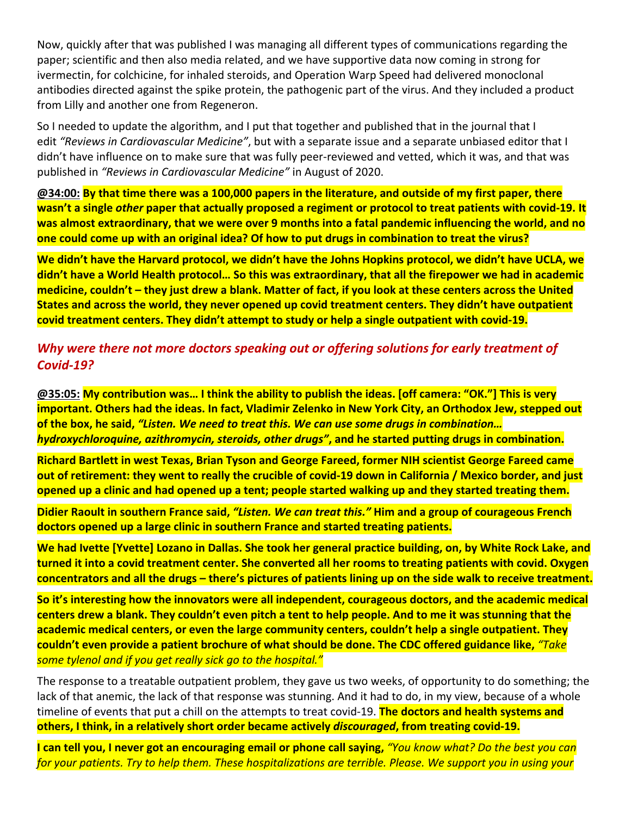Now, quickly after that was published I was managing all different types of communications regarding the paper; scientific and then also media related, and we have supportive data now coming in strong for ivermectin, for colchicine, for inhaled steroids, and Operation Warp Speed had delivered monoclonal antibodies directed against the spike protein, the pathogenic part of the virus. And they included a product from Lilly and another one from Regeneron.

So I needed to update the algorithm, and I put that together and published that in the journal that I edit *"Reviews in Cardiovascular Medicine"*, but with a separate issue and a separate unbiased editor that I didn't have influence on to make sure that was fully peer‐reviewed and vetted, which it was, and that was published in *"Reviews in Cardiovascular Medicine"* in August of 2020.

**@34:00: By that time there was a 100,000 papers in the literature, and outside of my first paper, there wasn't a single** *other* **paper that actually proposed a regiment or protocol to treat patients with covid‐19. It was almost extraordinary, that we were over 9 months into a fatal pandemic influencing the world, and no one could come up with an original idea? Of how to put drugs in combination to treat the virus?**

**We didn't have the Harvard protocol, we didn't have the Johns Hopkins protocol, we didn't have UCLA, we didn't have a World Health protocol… So this was extraordinary, that all the firepower we had in academic medicine, couldn't – they just drew a blank. Matter of fact, if you look at these centers across the United States and across the world, they never opened up covid treatment centers. They didn't have outpatient covid treatment centers. They didn't attempt to study or help a single outpatient with covid‐19.**

# *Why were there not more doctors speaking out or offering solutions for early treatment of Covid‐19?*

**@35:05: My contribution was… I think the ability to publish the ideas. [off camera: "OK."] This is very important. Others had the ideas. In fact, Vladimir Zelenko in New York City, an Orthodox Jew, stepped out of the box, he said,** *"Listen. We need to treat this. We can use some drugs in combination… hydroxychloroquine, azithromycin, steroids, other drugs"***, and he started putting drugs in combination.**

**Richard Bartlett in west Texas, Brian Tyson and George Fareed, former NIH scientist George Fareed came out of retirement: they went to really the crucible of covid‐19 down in California / Mexico border, and just opened up a clinic and had opened up a tent; people started walking up and they started treating them.**

**Didier Raoult in southern France said,** *"Listen. We can treat this."* **Him and a group of courageous French doctors opened up a large clinic in southern France and started treating patients.**

**We had Ivette [Yvette] Lozano in Dallas. She took her general practice building, on, by White Rock Lake, and turned it into a covid treatment center. She converted all her rooms to treating patients with covid. Oxygen concentrators and all the drugs – there's pictures of patients lining up on the side walk to receive treatment.**

**So it's interesting how the innovators were all independent, courageous doctors, and the academic medical centers drew a blank. They couldn't even pitch a tent to help people. And to me it was stunning that the academic medical centers, or even the large community centers, couldn't help a single outpatient. They couldn't even provide a patient brochure of what should be done. The CDC offered guidance like,** *"Take some tylenol and if you get really sick go to the hospital."*

The response to a treatable outpatient problem, they gave us two weeks, of opportunity to do something; the lack of that anemic, the lack of that response was stunning. And it had to do, in my view, because of a whole timeline of events that put a chill on the attempts to treat covid‐19. **The doctors and health systems and others, I think, in a relatively short order became actively** *discouraged***, from treating covid‐19.**

**I can tell you, I never got an encouraging email or phone call saying,** *"You know what? Do the best you can for your patients. Try to help them. These hospitalizations are terrible. Please. We support you in using your*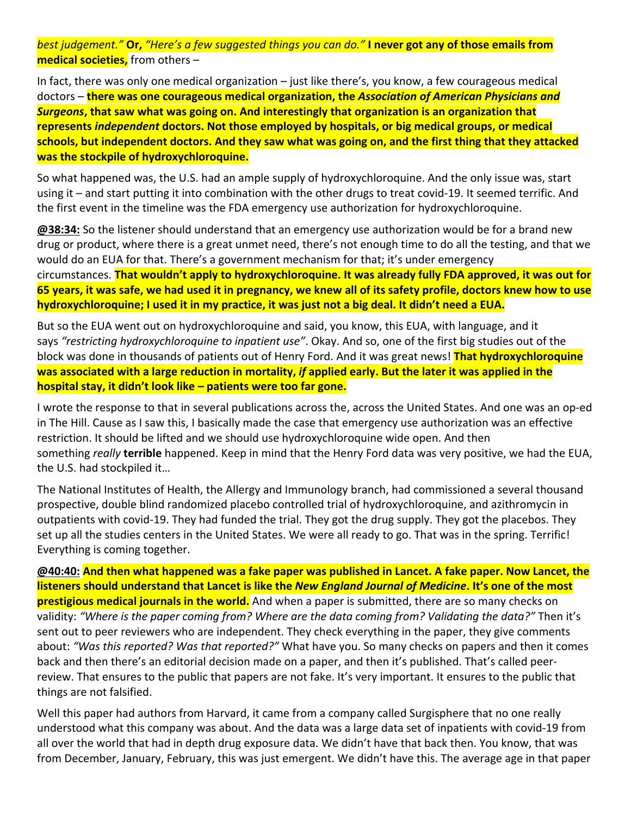*best judgement."* **Or,** *"Here's a few suggested things you can do."* **I never got any of those emails from medical societies,** from others –

In fact, there was only one medical organization – just like there's, you know, a few courageous medical doctors – **there was one courageous medical organization, the** *Association of American Physicians and Surgeons***, that saw what was going on. And interestingly that organization is an organization that represents** *independent* **doctors. Not those employed by hospitals, or big medical groups, or medical schools, but independent doctors. And they saw what was going on, and the first thing that they attacked was the stockpile of hydroxychloroquine.**

So what happened was, the U.S. had an ample supply of hydroxychloroquine. And the only issue was, start using it – and start putting it into combination with the other drugs to treat covid-19. It seemed terrific. And the first event in the timeline was the FDA emergency use authorization for hydroxychloroquine.

**@38:34:** So the listener should understand that an emergency use authorization would be for a brand new drug or product, where there is a great unmet need, there's not enough time to do all the testing, and that we would do an EUA for that. There's a government mechanism for that; it's under emergency circumstances. **That wouldn't apply to hydroxychloroquine. It was already fully FDA approved, it was out for 65 years, it was safe, we had used it in pregnancy, we knew all of its safety profile, doctors knew how to use hydroxychloroquine; I used it in my practice, it was just not a big deal. It didn't need a EUA.**

But so the EUA went out on hydroxychloroquine and said, you know, this EUA, with language, and it says *"restricting hydroxychloroquine to inpatient use"*. Okay. And so, one of the first big studies out of the block was done in thousands of patients out of Henry Ford. And it was great news! **That hydroxychloroquine was associated with a large reduction in mortality,** *if* **applied early. But the later it was applied in the hospital stay, it didn't look like – patients were too far gone.**

I wrote the response to that in several publications across the, across the United States. And one was an op‐ed in The Hill. Cause as I saw this, I basically made the case that emergency use authorization was an effective restriction. It should be lifted and we should use hydroxychloroquine wide open. And then something *really* **terrible** happened. Keep in mind that the Henry Ford data was very positive, we had the EUA, the U.S. had stockpiled it…

The National Institutes of Health, the Allergy and Immunology branch, had commissioned a several thousand prospective, double blind randomized placebo controlled trial of hydroxychloroquine, and azithromycin in outpatients with covid‐19. They had funded the trial. They got the drug supply. They got the placebos. They set up all the studies centers in the United States. We were all ready to go. That was in the spring. Terrific! Everything is coming together.

**@40:40: And then what happened was a fake paper was published in Lancet. A fake paper. Now Lancet, the listeners should understand that Lancet is like the** *New England Journal of Medicine***. It's one of the most prestigious medical journals in the world.** And when a paper is submitted, there are so many checks on validity: *"Where is the paper coming from? Where are the data coming from? Validating the data?"* Then it's sent out to peer reviewers who are independent. They check everything in the paper, they give comments about: *"Was this reported? Was that reported?"* What have you. So many checks on papers and then it comes back and then there's an editorial decision made on a paper, and then it's published. That's called peer‐ review. That ensures to the public that papers are not fake. It's very important. It ensures to the public that things are not falsified.

Well this paper had authors from Harvard, it came from a company called Surgisphere that no one really understood what this company was about. And the data was a large data set of inpatients with covid‐19 from all over the world that had in depth drug exposure data. We didn't have that back then. You know, that was from December, January, February, this was just emergent. We didn't have this. The average age in that paper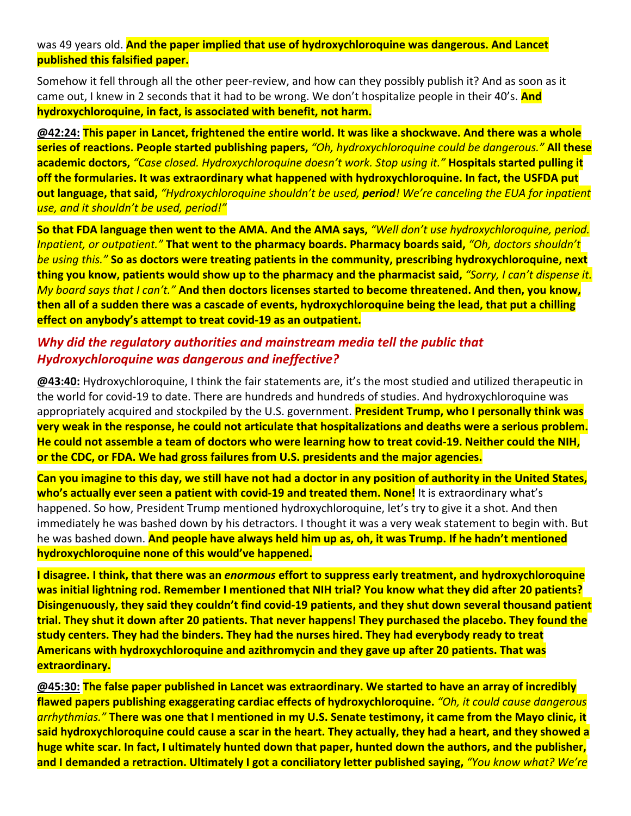#### was 49 years old. **And the paper implied that use of hydroxychloroquine was dangerous. And Lancet published this falsified paper.**

Somehow it fell through all the other peer‐review, and how can they possibly publish it? And as soon as it came out, I knew in 2 seconds that it had to be wrong. We don't hospitalize people in their 40's. **And hydroxychloroquine, in fact, is associated with benefit, not harm.**

**@42:24: This paper in Lancet, frightened the entire world. It was like a shockwave. And there was a whole series of reactions. People started publishing papers,** *"Oh, hydroxychloroquine could be dangerous."* **All these academic doctors,** *"Case closed. Hydroxychloroquine doesn't work. Stop using it."* **Hospitals started pulling it off the formularies. It was extraordinary what happened with hydroxychloroquine. In fact, the USFDA put out language, that said,** *"Hydroxychloroquine shouldn't be used, period! We're canceling the EUA for inpatient use, and it shouldn't be used, period!"*

**So that FDA language then went to the AMA. And the AMA says,** *"Well don't use hydroxychloroquine, period. Inpatient, or outpatient."* **That went to the pharmacy boards. Pharmacy boards said,** *"Oh, doctors shouldn't be using this."* **So as doctors were treating patients in the community, prescribing hydroxychloroquine, next thing you know, patients would show up to the pharmacy and the pharmacist said,** *"Sorry, I can't dispense it. My board says that I can't."* **And then doctors licenses started to become threatened. And then, you know, then all of a sudden there was a cascade of events, hydroxychloroquine being the lead, that put a chilling effect on anybody's attempt to treat covid‐19 as an outpatient.**

## *Why did the regulatory authorities and mainstream media tell the public that Hydroxychloroquine was dangerous and ineffective?*

**@43:40:** Hydroxychloroquine, I think the fair statements are, it's the most studied and utilized therapeutic in the world for covid‐19 to date. There are hundreds and hundreds of studies. And hydroxychloroquine was appropriately acquired and stockpiled by the U.S. government. **President Trump, who I personally think was very weak in the response, he could not articulate that hospitalizations and deaths were a serious problem. He could not assemble a team of doctors who were learning how to treat covid‐19. Neither could the NIH, or the CDC, or FDA. We had gross failures from U.S. presidents and the major agencies.**

**Can you imagine to this day, we still have not had a doctor in any position of authority in the United States,**  who's actually ever seen a patient with covid-19 and treated them. None! It is extraordinary what's happened. So how, President Trump mentioned hydroxychloroquine, let's try to give it a shot. And then immediately he was bashed down by his detractors. I thought it was a very weak statement to begin with. But he was bashed down. **And people have always held him up as, oh, it was Trump. If he hadn't mentioned hydroxychloroquine none of this would've happened.**

**I disagree. I think, that there was an** *enormous* **effort to suppress early treatment, and hydroxychloroquine was initial lightning rod. Remember I mentioned that NIH trial? You know what they did after 20 patients? Disingenuously, they said they couldn't find covid‐19 patients, and they shut down several thousand patient trial. They shut it down after 20 patients. That never happens! They purchased the placebo. They found the study centers. They had the binders. They had the nurses hired. They had everybody ready to treat Americans with hydroxychloroquine and azithromycin and they gave up after 20 patients. That was extraordinary.**

**@45:30: The false paper published in Lancet was extraordinary. We started to have an array of incredibly flawed papers publishing exaggerating cardiac effects of hydroxychloroquine.** *"Oh, it could cause dangerous arrhythmias."* **There was one that I mentioned in my U.S. Senate testimony, it came from the Mayo clinic, it said hydroxychloroquine could cause a scar in the heart. They actually, they had a heart, and they showed a huge white scar. In fact, I ultimately hunted down that paper, hunted down the authors, and the publisher, and I demanded a retraction. Ultimately I got a conciliatory letter published saying,** *"You know what? We're*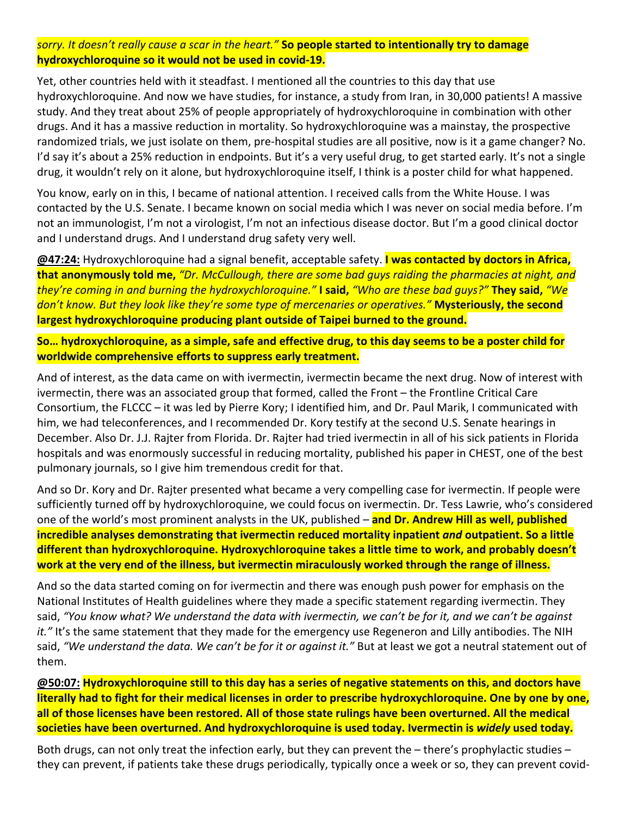#### *sorry. It doesn't really cause a scar in the heart."* **So people started to intentionally try to damage hydroxychloroquine so it would not be used in covid‐19.**

Yet, other countries held with it steadfast. I mentioned all the countries to this day that use hydroxychloroquine. And now we have studies, for instance, a study from Iran, in 30,000 patients! A massive study. And they treat about 25% of people appropriately of hydroxychloroquine in combination with other drugs. And it has a massive reduction in mortality. So hydroxychloroquine was a mainstay, the prospective randomized trials, we just isolate on them, pre-hospital studies are all positive, now is it a game changer? No. I'd say it's about a 25% reduction in endpoints. But it's a very useful drug, to get started early. It's not a single drug, it wouldn't rely on it alone, but hydroxychloroquine itself, I think is a poster child for what happened.

You know, early on in this, I became of national attention. I received calls from the White House. I was contacted by the U.S. Senate. I became known on social media which I was never on social media before. I'm not an immunologist, I'm not a virologist, I'm not an infectious disease doctor. But I'm a good clinical doctor and I understand drugs. And I understand drug safety very well.

**@47:24:** Hydroxychloroquine had a signal benefit, acceptable safety. **I was contacted by doctors in Africa, that anonymously told me,** *"Dr. McCullough, there are some bad guys raiding the pharmacies at night, and they're coming in and burning the hydroxychloroquine."* **I said,** *"Who are these bad guys?"* **They said,** *"We don't know. But they look like they're some type of mercenaries or operatives."* **Mysteriously, the second largest hydroxychloroquine producing plant outside of Taipei burned to the ground.**

**So… hydroxychloroquine, as a simple, safe and effective drug, to this day seems to be a poster child for worldwide comprehensive efforts to suppress early treatment.**

And of interest, as the data came on with ivermectin, ivermectin became the next drug. Now of interest with ivermectin, there was an associated group that formed, called the Front – the Frontline Critical Care Consortium, the FLCCC – it was led by Pierre Kory; I identified him, and Dr. Paul Marik, I communicated with him, we had teleconferences, and I recommended Dr. Kory testify at the second U.S. Senate hearings in December. Also Dr. J.J. Rajter from Florida. Dr. Rajter had tried ivermectin in all of his sick patients in Florida hospitals and was enormously successful in reducing mortality, published his paper in CHEST, one of the best pulmonary journals, so I give him tremendous credit for that.

And so Dr. Kory and Dr. Rajter presented what became a very compelling case for ivermectin. If people were sufficiently turned off by hydroxychloroquine, we could focus on ivermectin. Dr. Tess Lawrie, who's considered one of the world's most prominent analysts in the UK, published – **and Dr. Andrew Hill as well, published incredible analyses demonstrating that ivermectin reduced mortality inpatient** *and* **outpatient. So a little different than hydroxychloroquine. Hydroxychloroquine takes a little time to work, and probably doesn't work at the very end of the illness, but ivermectin miraculously worked through the range of illness.**

And so the data started coming on for ivermectin and there was enough push power for emphasis on the National Institutes of Health guidelines where they made a specific statement regarding ivermectin. They said, *"You know what? We understand the data with ivermectin, we can't be for it, and we can't be against*  it." It's the same statement that they made for the emergency use Regeneron and Lilly antibodies. The NIH said, *"We understand the data. We can't be for it or against it."* But at least we got a neutral statement out of them.

**@50:07: Hydroxychloroquine still to this day has a series of negative statements on this, and doctors have literally had to fight for their medical licenses in order to prescribe hydroxychloroquine. One by one by one, all of those licenses have been restored. All of those state rulings have been overturned. All the medical societies have been overturned. And hydroxychloroquine is used today. Ivermectin is** *widely* **used today.**

Both drugs, can not only treat the infection early, but they can prevent the – there's prophylactic studies – they can prevent, if patients take these drugs periodically, typically once a week or so, they can prevent covid‐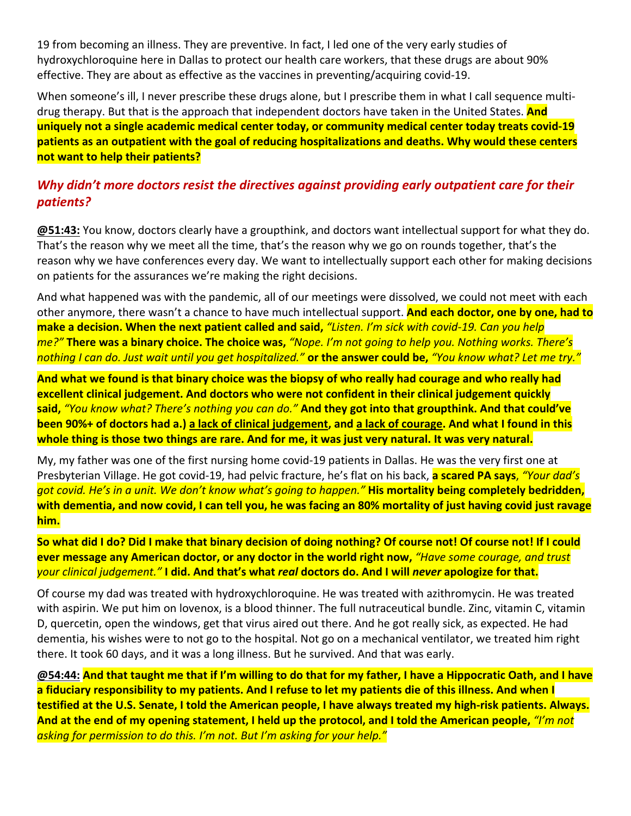19 from becoming an illness. They are preventive. In fact, I led one of the very early studies of hydroxychloroquine here in Dallas to protect our health care workers, that these drugs are about 90% effective. They are about as effective as the vaccines in preventing/acquiring covid‐19.

When someone's ill, I never prescribe these drugs alone, but I prescribe them in what I call sequence multidrug therapy. But that is the approach that independent doctors have taken in the United States. **And uniquely not a single academic medical center today, or community medical center today treats covid‐19 patients as an outpatient with the goal of reducing hospitalizations and deaths. Why would these centers not want to help their patients?**

# *Why didn't more doctors resist the directives against providing early outpatient care for their patients?*

**@51:43:** You know, doctors clearly have a groupthink, and doctors want intellectual support for what they do. That's the reason why we meet all the time, that's the reason why we go on rounds together, that's the reason why we have conferences every day. We want to intellectually support each other for making decisions on patients for the assurances we're making the right decisions.

And what happened was with the pandemic, all of our meetings were dissolved, we could not meet with each other anymore, there wasn't a chance to have much intellectual support. **And each doctor, one by one, had to make a decision. When the next patient called and said,** *"Listen. I'm sick with covid‐19. Can you help me?"* **There was a binary choice. The choice was,** *"Nope. I'm not going to help you. Nothing works. There's nothing I can do. Just wait until you get hospitalized."* **or the answer could be,** *"You know what? Let me try."*

**And what we found is that binary choice was the biopsy of who really had courage and who really had excellent clinical judgement. And doctors who were not confident in their clinical judgement quickly said,** *"You know what? There's nothing you can do."* **And they got into that groupthink. And that could've been 90%+ of doctors had a.) a lack of clinical judgement, and a lack of courage. And what I found in this whole thing is those two things are rare. And for me, it was just very natural. It was very natural.**

My, my father was one of the first nursing home covid‐19 patients in Dallas. He was the very first one at Presbyterian Village. He got covid‐19, had pelvic fracture, he's flat on his back, **a scared PA says**, *"Your dad's got covid. He's in a unit. We don't know what's going to happen."* **His mortality being completely bedridden, with dementia, and now covid, I can tell you, he was facing an 80% mortality of just having covid just ravage him.**

**So what did I do? Did I make that binary decision of doing nothing? Of course not! Of course not! If I could ever message any American doctor, or any doctor in the world right now,** *"Have some courage, and trust your clinical judgement."* **I did. And that's what** *real* **doctors do. And I will** *never* **apologize for that.**

Of course my dad was treated with hydroxychloroquine. He was treated with azithromycin. He was treated with aspirin. We put him on lovenox, is a blood thinner. The full nutraceutical bundle. Zinc, vitamin C, vitamin D, quercetin, open the windows, get that virus aired out there. And he got really sick, as expected. He had dementia, his wishes were to not go to the hospital. Not go on a mechanical ventilator, we treated him right there. It took 60 days, and it was a long illness. But he survived. And that was early.

**@54:44: And that taught me that if I'm willing to do that for my father, I have a Hippocratic Oath, and I have a fiduciary responsibility to my patients. And I refuse to let my patients die of this illness. And when I testified at the U.S. Senate, I told the American people, I have always treated my high‐risk patients. Always. And at the end of my opening statement, I held up the protocol, and I told the American people,** *"I'm not asking for permission to do this. I'm not. But I'm asking for your help."*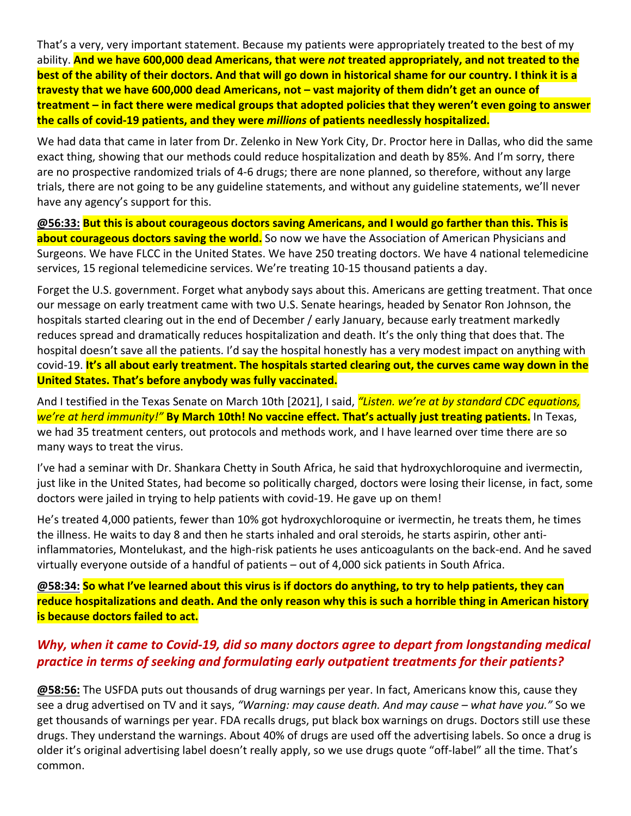That's a very, very important statement. Because my patients were appropriately treated to the best of my ability. **And we have 600,000 dead Americans, that were** *not* **treated appropriately, and not treated to the best of the ability of their doctors. And that will go down in historical shame for our country. I think it is a travesty that we have 600,000 dead Americans, not – vast majority of them didn't get an ounce of treatment – in fact there were medical groups that adopted policies that they weren't even going to answer the calls of covid‐19 patients, and they were** *millions* **of patients needlessly hospitalized.**

We had data that came in later from Dr. Zelenko in New York City, Dr. Proctor here in Dallas, who did the same exact thing, showing that our methods could reduce hospitalization and death by 85%. And I'm sorry, there are no prospective randomized trials of 4‐6 drugs; there are none planned, so therefore, without any large trials, there are not going to be any guideline statements, and without any guideline statements, we'll never have any agency's support for this.

**@56:33: But this is about courageous doctors saving Americans, and I would go farther than this. This is about courageous doctors saving the world.** So now we have the Association of American Physicians and Surgeons. We have FLCC in the United States. We have 250 treating doctors. We have 4 national telemedicine services, 15 regional telemedicine services. We're treating 10‐15 thousand patients a day.

Forget the U.S. government. Forget what anybody says about this. Americans are getting treatment. That once our message on early treatment came with two U.S. Senate hearings, headed by Senator Ron Johnson, the hospitals started clearing out in the end of December / early January, because early treatment markedly reduces spread and dramatically reduces hospitalization and death. It's the only thing that does that. The hospital doesn't save all the patients. I'd say the hospital honestly has a very modest impact on anything with covid‐19. **It's all about early treatment. The hospitals started clearing out, the curves came way down in the United States. That's before anybody was fully vaccinated.**

And I testified in the Texas Senate on March 10th [2021], I said, *"Listen. we're at by standard CDC equations, we're at herd immunity!"* **By March 10th! No vaccine effect. That's actually just treating patients.** In Texas, we had 35 treatment centers, out protocols and methods work, and I have learned over time there are so many ways to treat the virus.

I've had a seminar with Dr. Shankara Chetty in South Africa, he said that hydroxychloroquine and ivermectin, just like in the United States, had become so politically charged, doctors were losing their license, in fact, some doctors were jailed in trying to help patients with covid‐19. He gave up on them!

He's treated 4,000 patients, fewer than 10% got hydroxychloroquine or ivermectin, he treats them, he times the illness. He waits to day 8 and then he starts inhaled and oral steroids, he starts aspirin, other anti‐ inflammatories, Montelukast, and the high-risk patients he uses anticoagulants on the back-end. And he saved virtually everyone outside of a handful of patients – out of 4,000 sick patients in South Africa.

**@58:34: So what I've learned about this virus is if doctors do anything, to try to help patients, they can reduce hospitalizations and death. And the only reason why this is such a horrible thing in American history is because doctors failed to act.**

# *Why, when it came to Covid‐19, did so many doctors agree to depart from longstanding medical practice in terms of seeking and formulating early outpatient treatments for their patients?*

**@58:56:** The USFDA puts out thousands of drug warnings per year. In fact, Americans know this, cause they see a drug advertised on TV and it says, *"Warning: may cause death. And may cause – what have you."* So we get thousands of warnings per year. FDA recalls drugs, put black box warnings on drugs. Doctors still use these drugs. They understand the warnings. About 40% of drugs are used off the advertising labels. So once a drug is older it's original advertising label doesn't really apply, so we use drugs quote "off‐label" all the time. That's common.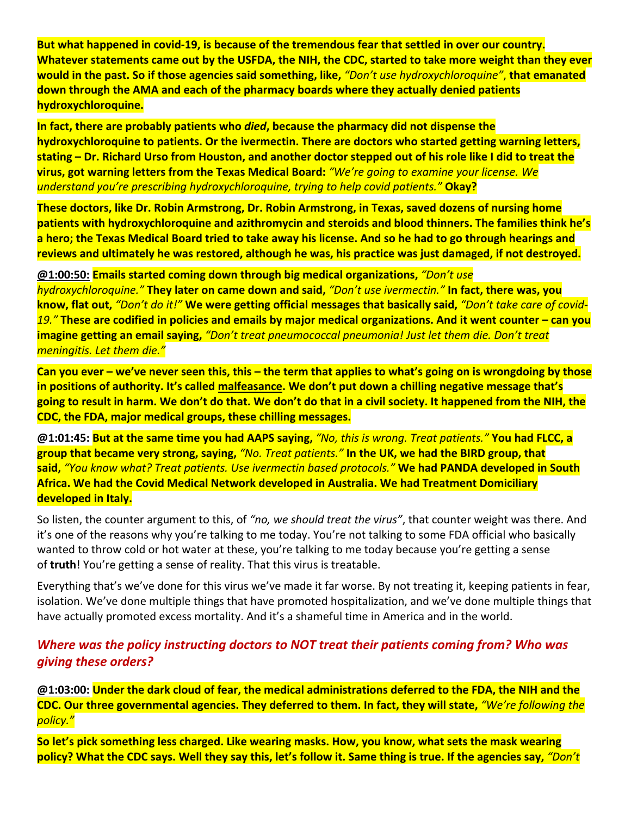**But what happened in covid‐19, is because of the tremendous fear that settled in over our country. Whatever statements came out by the USFDA, the NIH, the CDC, started to take more weight than they ever would in the past. So if those agencies said something, like,** *"Don't use hydroxychloroquine"*, **that emanated down through the AMA and each of the pharmacy boards where they actually denied patients hydroxychloroquine.**

**In fact, there are probably patients who** *died***, because the pharmacy did not dispense the hydroxychloroquine to patients. Or the ivermectin. There are doctors who started getting warning letters, stating – Dr. Richard Urso from Houston, and another doctor stepped out of his role like I did to treat the virus, got warning letters from the Texas Medical Board:** *"We're going to examine your license. We understand you're prescribing hydroxychloroquine, trying to help covid patients."* **Okay?**

**These doctors, like Dr. Robin Armstrong, Dr. Robin Armstrong, in Texas, saved dozens of nursing home patients with hydroxychloroquine and azithromycin and steroids and blood thinners. The families think he's a hero; the Texas Medical Board tried to take away his license. And so he had to go through hearings and reviews and ultimately he was restored, although he was, his practice was just damaged, if not destroyed.**

**@1:00:50: Emails started coming down through big medical organizations,** *"Don't use hydroxychloroquine."* **They later on came down and said,** *"Don't use ivermectin."* **In fact, there was, you know, flat out,** *"Don't do it!"* **We were getting official messages that basically said,** *"Don't take care of covid‐ 19."* **These are codified in policies and emails by major medical organizations. And it went counter – can you imagine getting an email saying,** *"Don't treat pneumococcal pneumonia! Just let them die. Don't treat meningitis. Let them die."*

**Can you ever – we've never seen this, this – the term that applies to what's going on is wrongdoing by those in positions of authority. It's called malfeasance. We don't put down a chilling negative message that's going to result in harm. We don't do that. We don't do that in a civil society. It happened from the NIH, the CDC, the FDA, major medical groups, these chilling messages.**

**@1:01:45: But at the same time you had AAPS saying,** *"No, this is wrong. Treat patients."* **You had FLCC, a group that became very strong, saying,** *"No. Treat patients."* **In the UK, we had the BIRD group, that said,** *"You know what? Treat patients. Use ivermectin based protocols."* **We had PANDA developed in South Africa. We had the Covid Medical Network developed in Australia. We had Treatment Domiciliary developed in Italy.**

So listen, the counter argument to this, of *"no, we should treat the virus"*, that counter weight was there. And it's one of the reasons why you're talking to me today. You're not talking to some FDA official who basically wanted to throw cold or hot water at these, you're talking to me today because you're getting a sense of **truth**! You're getting a sense of reality. That this virus is treatable.

Everything that's we've done for this virus we've made it far worse. By not treating it, keeping patients in fear, isolation. We've done multiple things that have promoted hospitalization, and we've done multiple things that have actually promoted excess mortality. And it's a shameful time in America and in the world.

# *Where was the policy instructing doctors to NOT treat their patients coming from? Who was giving these orders?*

**@1:03:00: Under the dark cloud of fear, the medical administrations deferred to the FDA, the NIH and the CDC. Our three governmental agencies. They deferred to them. In fact, they will state,** *"We're following the policy."*

**So let's pick something less charged. Like wearing masks. How, you know, what sets the mask wearing policy? What the CDC says. Well they say this, let's follow it. Same thing is true. If the agencies say,** *"Don't*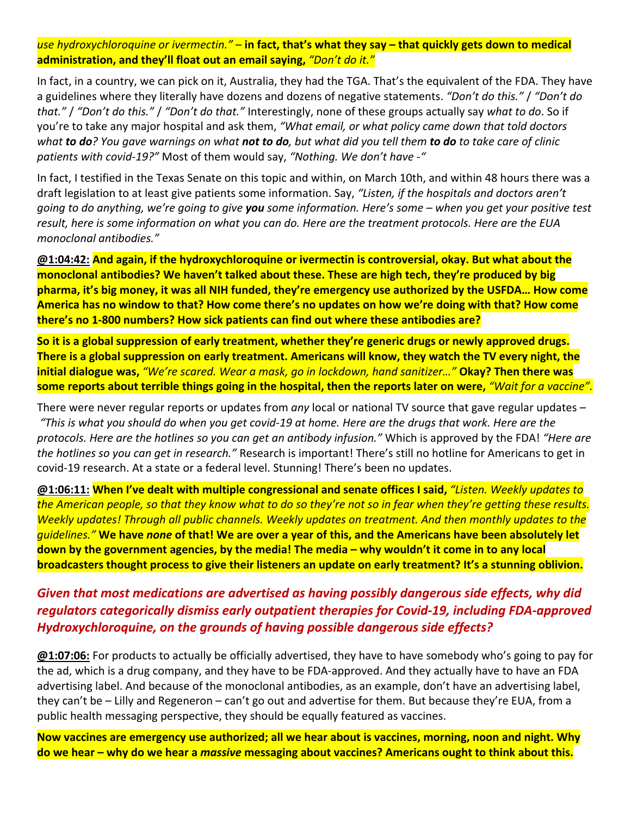*use hydroxychloroquine or ivermectin."* – **in fact, that's what they say – that quickly gets down to medical administration, and they'll float out an email saying,** *"Don't do it."*

In fact, in a country, we can pick on it, Australia, they had the TGA. That's the equivalent of the FDA. They have a guidelines where they literally have dozens and dozens of negative statements. *"Don't do this."* / *"Don't do that."* / *"Don't do this."* / *"Don't do that."* Interestingly, none of these groups actually say *what to do*. So if you're to take any major hospital and ask them, *"What email, or what policy came down that told doctors what to do? You gave warnings on what not to do, but what did you tell them to do to take care of clinic patients with covid‐19?"* Most of them would say, *"Nothing. We don't have ‐"*

In fact, I testified in the Texas Senate on this topic and within, on March 10th, and within 48 hours there was a draft legislation to at least give patients some information. Say, *"Listen, if the hospitals and doctors aren't going to do anything, we're going to give you some information. Here's some – when you get your positive test result, here is some information on what you can do. Here are the treatment protocols. Here are the EUA monoclonal antibodies."*

**@1:04:42: And again, if the hydroxychloroquine or ivermectin is controversial, okay. But what about the monoclonal antibodies? We haven't talked about these. These are high tech, they're produced by big pharma, it's big money, it was all NIH funded, they're emergency use authorized by the USFDA… How come America has no window to that? How come there's no updates on how we're doing with that? How come there's no 1‐800 numbers? How sick patients can find out where these antibodies are?**

**So it is a global suppression of early treatment, whether they're generic drugs or newly approved drugs. There is a global suppression on early treatment. Americans will know, they watch the TV every night, the initial dialogue was,** *"We're scared. Wear a mask, go in lockdown, hand sanitizer…"* **Okay? Then there was some reports about terrible things going in the hospital, then the reports later on were,** *"Wait for a vaccine".*

There were never regular reports or updates from *any* local or national TV source that gave regular updates – *"This is what you should do when you get covid‐19 at home. Here are the drugs that work. Here are the protocols. Here are the hotlines so you can get an antibody infusion."* Which is approved by the FDA! *"Here are the hotlines so you can get in research."* Research is important! There's still no hotline for Americans to get in covid‐19 research. At a state or a federal level. Stunning! There's been no updates.

**@1:06:11: When I've dealt with multiple congressional and senate offices I said,** *"Listen. Weekly updates to the American people, so that they know what to do so they're not so in fear when they're getting these results. Weekly updates! Through all public channels. Weekly updates on treatment. And then monthly updates to the guidelines."* **We have** *none* **of that! We are over a year of this, and the Americans have been absolutely let down by the government agencies, by the media! The media – why wouldn't it come in to any local broadcasters thought process to give their listeners an update on early treatment? It's a stunning oblivion.**

## *Given that most medications are advertised as having possibly dangerous side effects, why did regulators categorically dismiss early outpatient therapies for Covid‐19, including FDA‐approved Hydroxychloroquine, on the grounds of having possible dangerous side effects?*

**@1:07:06:** For products to actually be officially advertised, they have to have somebody who's going to pay for the ad, which is a drug company, and they have to be FDA‐approved. And they actually have to have an FDA advertising label. And because of the monoclonal antibodies, as an example, don't have an advertising label, they can't be – Lilly and Regeneron – can't go out and advertise for them. But because they're EUA, from a public health messaging perspective, they should be equally featured as vaccines.

**Now vaccines are emergency use authorized; all we hear about is vaccines, morning, noon and night. Why do we hear – why do we hear a** *massive* **messaging about vaccines? Americans ought to think about this.**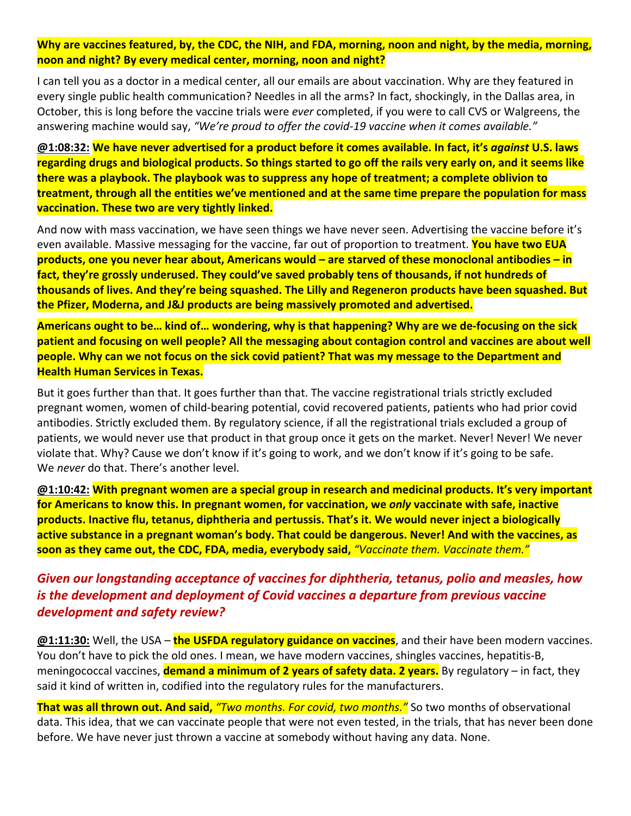**Why are vaccines featured, by, the CDC, the NIH, and FDA, morning, noon and night, by the media, morning, noon and night? By every medical center, morning, noon and night?**

I can tell you as a doctor in a medical center, all our emails are about vaccination. Why are they featured in every single public health communication? Needles in all the arms? In fact, shockingly, in the Dallas area, in October, this is long before the vaccine trials were *ever* completed, if you were to call CVS or Walgreens, the answering machine would say, *"We're proud to offer the covid‐19 vaccine when it comes available."*

**@1:08:32: We have never advertised for a product before it comes available. In fact, it's** *against* **U.S. laws regarding drugs and biological products. So things started to go off the rails very early on, and it seems like there was a playbook. The playbook was to suppress any hope of treatment; a complete oblivion to treatment, through all the entities we've mentioned and at the same time prepare the population for mass vaccination. These two are very tightly linked.**

And now with mass vaccination, we have seen things we have never seen. Advertising the vaccine before it's even available. Massive messaging for the vaccine, far out of proportion to treatment. **You have two EUA products, one you never hear about, Americans would – are starved of these monoclonal antibodies – in fact, they're grossly underused. They could've saved probably tens of thousands, if not hundreds of thousands of lives. And they're being squashed. The Lilly and Regeneron products have been squashed. But the Pfizer, Moderna, and J&J products are being massively promoted and advertised.**

**Americans ought to be… kind of… wondering, why is that happening? Why are we de‐focusing on the sick patient and focusing on well people? All the messaging about contagion control and vaccines are about well people. Why can we not focus on the sick covid patient? That was my message to the Department and Health Human Services in Texas.**

But it goes further than that. It goes further than that. The vaccine registrational trials strictly excluded pregnant women, women of child‐bearing potential, covid recovered patients, patients who had prior covid antibodies. Strictly excluded them. By regulatory science, if all the registrational trials excluded a group of patients, we would never use that product in that group once it gets on the market. Never! Never! We never violate that. Why? Cause we don't know if it's going to work, and we don't know if it's going to be safe. We *never* do that. There's another level.

**@1:10:42: With pregnant women are a special group in research and medicinal products. It's very important for Americans to know this. In pregnant women, for vaccination, we** *only* **vaccinate with safe, inactive products. Inactive flu, tetanus, diphtheria and pertussis. That's it. We would never inject a biologically active substance in a pregnant woman's body. That could be dangerous. Never! And with the vaccines, as soon as they came out, the CDC, FDA, media, everybody said,** *"Vaccinate them. Vaccinate them."*

## *Given our longstanding acceptance of vaccines for diphtheria, tetanus, polio and measles, how is the development and deployment of Covid vaccines a departure from previous vaccine development and safety review?*

**@1:11:30:** Well, the USA – **the USFDA regulatory guidance on vaccines**, and their have been modern vaccines. You don't have to pick the old ones. I mean, we have modern vaccines, shingles vaccines, hepatitis‐B, meningococcal vaccines, **demand a minimum of 2 years of safety data. 2 years.** By regulatory – in fact, they said it kind of written in, codified into the regulatory rules for the manufacturers.

**That was all thrown out. And said,** *"Two months. For covid, two months."* So two months of observational data. This idea, that we can vaccinate people that were not even tested, in the trials, that has never been done before. We have never just thrown a vaccine at somebody without having any data. None.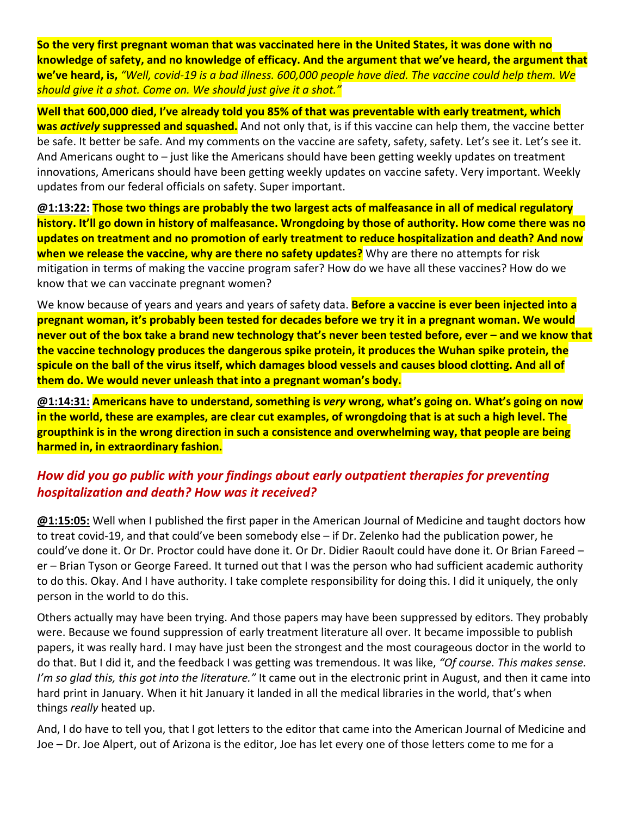**So the very first pregnant woman that was vaccinated here in the United States, it was done with no knowledge of safety, and no knowledge of efficacy. And the argument that we've heard, the argument that we've heard, is,** *"Well, covid‐19 is a bad illness. 600,000 people have died. The vaccine could help them. We should give it a shot. Come on. We should just give it a shot."*

**Well that 600,000 died, I've already told you 85% of that was preventable with early treatment, which was** *actively* **suppressed and squashed.** And not only that, is if this vaccine can help them, the vaccine better be safe. It better be safe. And my comments on the vaccine are safety, safety, safety. Let's see it. Let's see it. And Americans ought to – just like the Americans should have been getting weekly updates on treatment innovations, Americans should have been getting weekly updates on vaccine safety. Very important. Weekly updates from our federal officials on safety. Super important.

**@1:13:22: Those two things are probably the two largest acts of malfeasance in all of medical regulatory history. It'll go down in history of malfeasance. Wrongdoing by those of authority. How come there was no updates on treatment and no promotion of early treatment to reduce hospitalization and death? And now when we release the vaccine, why are there no safety updates?** Why are there no attempts for risk mitigation in terms of making the vaccine program safer? How do we have all these vaccines? How do we know that we can vaccinate pregnant women?

We know because of years and years and years of safety data. **Before a vaccine is ever been injected into a pregnant woman, it's probably been tested for decades before we try it in a pregnant woman. We would never out of the box take a brand new technology that's never been tested before, ever – and we know that the vaccine technology produces the dangerous spike protein, it produces the Wuhan spike protein, the spicule on the ball of the virus itself, which damages blood vessels and causes blood clotting. And all of them do. We would never unleash that into a pregnant woman's body.**

**@1:14:31: Americans have to understand, something is** *very* **wrong, what's going on. What's going on now in the world, these are examples, are clear cut examples, of wrongdoing that is at such a high level. The groupthink is in the wrong direction in such a consistence and overwhelming way, that people are being harmed in, in extraordinary fashion.**

# *How did you go public with your findings about early outpatient therapies for preventing hospitalization and death? How was it received?*

**@1:15:05:** Well when I published the first paper in the American Journal of Medicine and taught doctors how to treat covid‐19, and that could've been somebody else – if Dr. Zelenko had the publication power, he could've done it. Or Dr. Proctor could have done it. Or Dr. Didier Raoult could have done it. Or Brian Fareed – er – Brian Tyson or George Fareed. It turned out that I was the person who had sufficient academic authority to do this. Okay. And I have authority. I take complete responsibility for doing this. I did it uniquely, the only person in the world to do this.

Others actually may have been trying. And those papers may have been suppressed by editors. They probably were. Because we found suppression of early treatment literature all over. It became impossible to publish papers, it was really hard. I may have just been the strongest and the most courageous doctor in the world to do that. But I did it, and the feedback I was getting was tremendous. It was like, *"Of course. This makes sense. I'm so glad this, this got into the literature."* It came out in the electronic print in August, and then it came into hard print in January. When it hit January it landed in all the medical libraries in the world, that's when things *really* heated up.

And, I do have to tell you, that I got letters to the editor that came into the American Journal of Medicine and Joe – Dr. Joe Alpert, out of Arizona is the editor, Joe has let every one of those letters come to me for a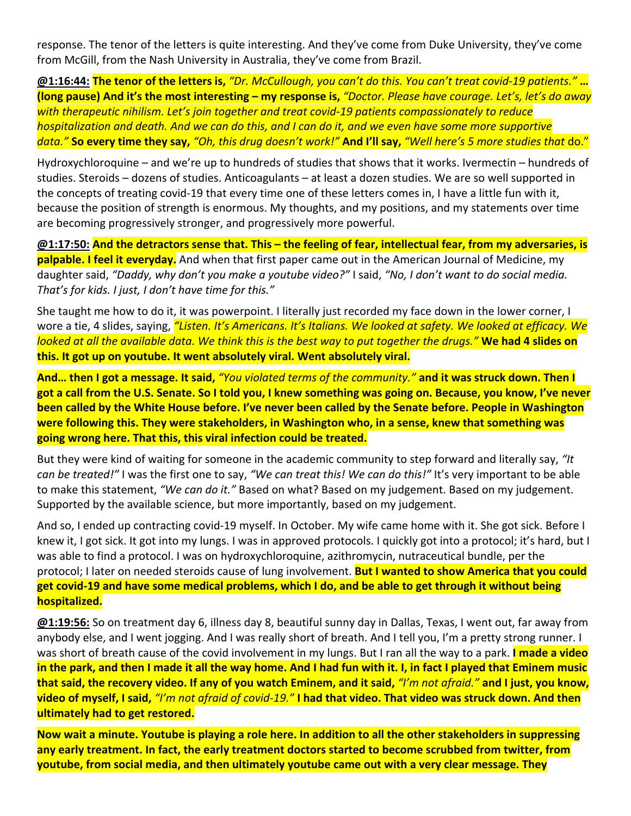response. The tenor of the letters is quite interesting. And they've come from Duke University, they've come from McGill, from the Nash University in Australia, they've come from Brazil.

**@1:16:44: The tenor of the letters is,** *"Dr. McCullough, you can't do this. You can't treat covid‐19 patients."* **… (long pause) And it's the most interesting – my response is,** *"Doctor. Please have courage. Let's, let's do away with therapeutic nihilism. Let's join together and treat covid‐19 patients compassionately to reduce hospitalization and death. And we can do this, and I can do it, and we even have some more supportive data."* **So every time they say,** *"Oh, this drug doesn't work!"* **And I'll say,** *"Well here's 5 more studies that* do."

Hydroxychloroquine – and we're up to hundreds of studies that shows that it works. Ivermectin – hundreds of studies. Steroids – dozens of studies. Anticoagulants – at least a dozen studies. We are so well supported in the concepts of treating covid‐19 that every time one of these letters comes in, I have a little fun with it, because the position of strength is enormous. My thoughts, and my positions, and my statements over time are becoming progressively stronger, and progressively more powerful.

**@1:17:50: And the detractors sense that. This – the feeling of fear, intellectual fear, from my adversaries, is palpable. I feel it everyday.** And when that first paper came out in the American Journal of Medicine, my daughter said, *"Daddy, why don't you make a youtube video?"* I said, *"No, I don't want to do social media. That's for kids. I just, I don't have time for this."*

She taught me how to do it, it was powerpoint. I literally just recorded my face down in the lower corner, I wore a tie, 4 slides, saying, *"Listen. It's Americans. It's Italians. We looked at safety. We looked at efficacy. We looked at all the available data. We think this is the best way to put together the drugs."* **We had 4 slides on this. It got up on youtube. It went absolutely viral. Went absolutely viral.**

**And… then I got a message. It said,** *"You violated terms of the community."* **and it was struck down. Then I got a call from the U.S. Senate. So I told you, I knew something was going on. Because, you know, I've never been called by the White House before. I've never been called by the Senate before. People in Washington were following this. They were stakeholders, in Washington who, in a sense, knew that something was going wrong here. That this, this viral infection could be treated.**

But they were kind of waiting for someone in the academic community to step forward and literally say, *"It can be treated!"* I was the first one to say, *"We can treat this! We can do this!"* It's very important to be able to make this statement, *"We can do it."* Based on what? Based on my judgement. Based on my judgement. Supported by the available science, but more importantly, based on my judgement.

And so, I ended up contracting covid‐19 myself. In October. My wife came home with it. She got sick. Before I knew it, I got sick. It got into my lungs. I was in approved protocols. I quickly got into a protocol; it's hard, but I was able to find a protocol. I was on hydroxychloroquine, azithromycin, nutraceutical bundle, per the protocol; I later on needed steroids cause of lung involvement. **But I wanted to show America that you could get covid‐19 and have some medical problems, which I do, and be able to get through it without being hospitalized.**

**@1:19:56:** So on treatment day 6, illness day 8, beautiful sunny day in Dallas, Texas, I went out, far away from anybody else, and I went jogging. And I was really short of breath. And I tell you, I'm a pretty strong runner. I was short of breath cause of the covid involvement in my lungs. But I ran all the way to a park. **I made a video in the park, and then I made it all the way home. And I had fun with it. I, in fact I played that Eminem music that said, the recovery video. If any of you watch Eminem, and it said,** *"I'm not afraid."* **and I just, you know, video of myself, I said,** *"I'm not afraid of covid‐19."* **I had that video. That video was struck down. And then ultimately had to get restored.**

**Now wait a minute. Youtube is playing a role here. In addition to all the other stakeholders in suppressing any early treatment. In fact, the early treatment doctors started to become scrubbed from twitter, from youtube, from social media, and then ultimately youtube came out with a very clear message. They**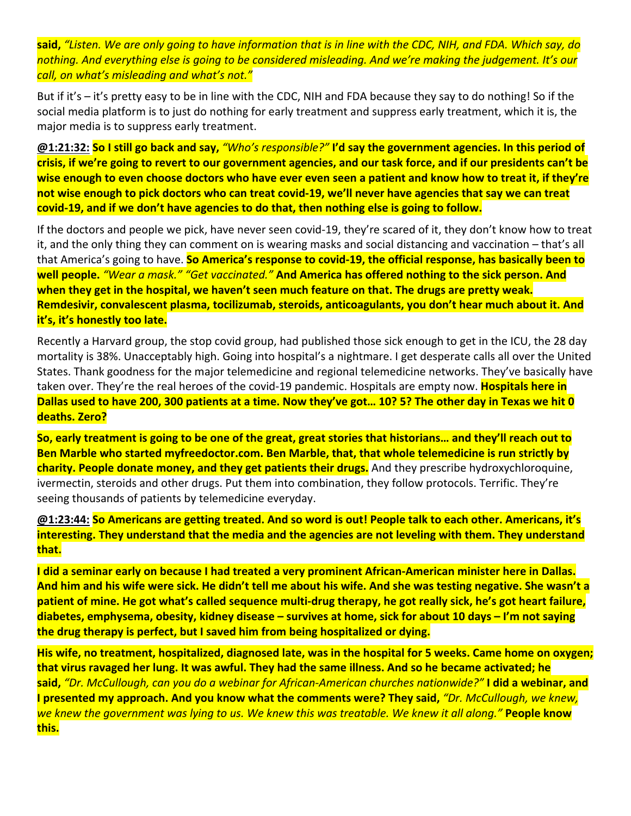**said,** *"Listen. We are only going to have information that is in line with the CDC, NIH, and FDA. Which say, do nothing. And everything else is going to be considered misleading. And we're making the judgement. It's our call, on what's misleading and what's not."*

But if it's – it's pretty easy to be in line with the CDC, NIH and FDA because they say to do nothing! So if the social media platform is to just do nothing for early treatment and suppress early treatment, which it is, the major media is to suppress early treatment.

**@1:21:32: So I still go back and say,** *"Who's responsible?"* **I'd say the government agencies. In this period of crisis, if we're going to revert to our government agencies, and our task force, and if our presidents can't be wise enough to even choose doctors who have ever even seen a patient and know how to treat it, if they're not wise enough to pick doctors who can treat covid‐19, we'll never have agencies that say we can treat covid‐19, and if we don't have agencies to do that, then nothing else is going to follow.**

If the doctors and people we pick, have never seen covid‐19, they're scared of it, they don't know how to treat it, and the only thing they can comment on is wearing masks and social distancing and vaccination – that's all that America's going to have. **So America's response to covid‐19, the official response, has basically been to well people.** *"Wear a mask." "Get vaccinated."* **And America has offered nothing to the sick person. And when they get in the hospital, we haven't seen much feature on that. The drugs are pretty weak. Remdesivir, convalescent plasma, tocilizumab, steroids, anticoagulants, you don't hear much about it. And it's, it's honestly too late.**

Recently a Harvard group, the stop covid group, had published those sick enough to get in the ICU, the 28 day mortality is 38%. Unacceptably high. Going into hospital's a nightmare. I get desperate calls all over the United States. Thank goodness for the major telemedicine and regional telemedicine networks. They've basically have taken over. They're the real heroes of the covid‐19 pandemic. Hospitals are empty now. **Hospitals here in Dallas used to have 200, 300 patients at a time. Now they've got… 10? 5? The other day in Texas we hit 0 deaths. Zero?**

**So, early treatment is going to be one of the great, great stories that historians… and they'll reach out to Ben Marble who started myfreedoctor.com. Ben Marble, that, that whole telemedicine is run strictly by charity. People donate money, and they get patients their drugs.** And they prescribe hydroxychloroquine, ivermectin, steroids and other drugs. Put them into combination, they follow protocols. Terrific. They're seeing thousands of patients by telemedicine everyday.

**@1:23:44: So Americans are getting treated. And so word is out! People talk to each other. Americans, it's interesting. They understand that the media and the agencies are not leveling with them. They understand that.**

**I did a seminar early on because I had treated a very prominent African‐American minister here in Dallas. And him and his wife were sick. He didn't tell me about his wife. And she was testing negative. She wasn't a patient of mine. He got what's called sequence multi‐drug therapy, he got really sick, he's got heart failure, diabetes, emphysema, obesity, kidney disease – survives at home, sick for about 10 days – I'm not saying the drug therapy is perfect, but I saved him from being hospitalized or dying.**

**His wife, no treatment, hospitalized, diagnosed late, was in the hospital for 5 weeks. Came home on oxygen; that virus ravaged her lung. It was awful. They had the same illness. And so he became activated; he said,** *"Dr. McCullough, can you do a webinar for African‐American churches nationwide?"* **I did a webinar, and I presented my approach. And you know what the comments were? They said,** *"Dr. McCullough, we knew, we knew the government was lying to us. We knew this was treatable. We knew it all along."* **People know this.**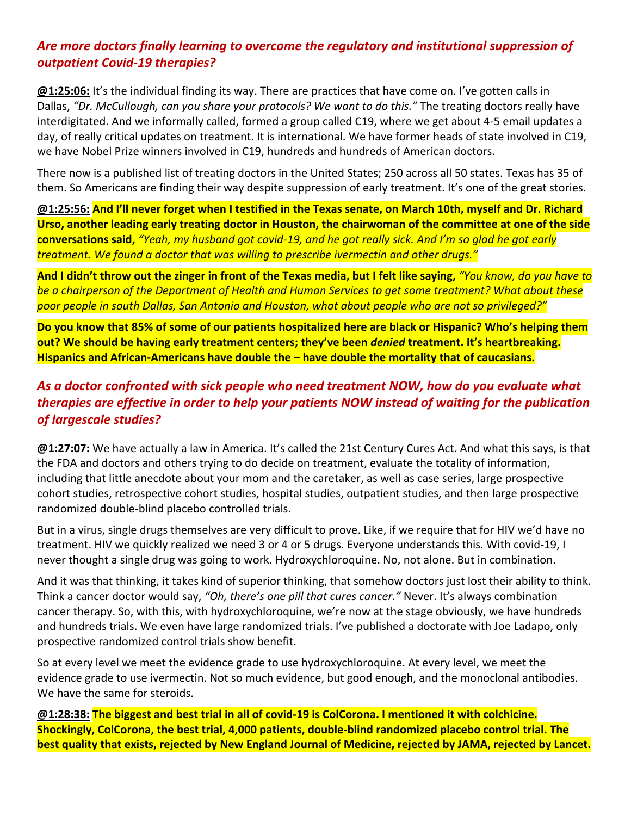# *Are more doctors finally learning to overcome the regulatory and institutional suppression of outpatient Covid‐19 therapies?*

**@1:25:06:** It's the individual finding its way. There are practices that have come on. I've gotten calls in Dallas, *"Dr. McCullough, can you share your protocols? We want to do this."* The treating doctors really have interdigitated. And we informally called, formed a group called C19, where we get about 4‐5 email updates a day, of really critical updates on treatment. It is international. We have former heads of state involved in C19, we have Nobel Prize winners involved in C19, hundreds and hundreds of American doctors.

There now is a published list of treating doctors in the United States; 250 across all 50 states. Texas has 35 of them. So Americans are finding their way despite suppression of early treatment. It's one of the great stories.

**@1:25:56: And I'll never forget when I testified in the Texas senate, on March 10th, myself and Dr. Richard Urso, another leading early treating doctor in Houston, the chairwoman of the committee at one of the side conversations said,** *"Yeah, my husband got covid‐19, and he got really sick. And I'm so glad he got early treatment. We found a doctor that was willing to prescribe ivermectin and other drugs."*

**And I didn't throw out the zinger in front of the Texas media, but I felt like saying,** *"You know, do you have to be a chairperson of the Department of Health and Human Services to get some treatment? What about these poor people in south Dallas, San Antonio and Houston, what about people who are not so privileged?"*

**Do you know that 85% of some of our patients hospitalized here are black or Hispanic? Who's helping them out? We should be having early treatment centers; they've been** *denied* **treatment. It's heartbreaking. Hispanics and African‐Americans have double the – have double the mortality that of caucasians.**

# *As a doctor confronted with sick people who need treatment NOW, how do you evaluate what therapies are effective in order to help your patients NOW instead of waiting for the publication of largescale studies?*

**@1:27:07:** We have actually a law in America. It's called the 21st Century Cures Act. And what this says, is that the FDA and doctors and others trying to do decide on treatment, evaluate the totality of information, including that little anecdote about your mom and the caretaker, as well as case series, large prospective cohort studies, retrospective cohort studies, hospital studies, outpatient studies, and then large prospective randomized double‐blind placebo controlled trials.

But in a virus, single drugs themselves are very difficult to prove. Like, if we require that for HIV we'd have no treatment. HIV we quickly realized we need 3 or 4 or 5 drugs. Everyone understands this. With covid‐19, I never thought a single drug was going to work. Hydroxychloroquine. No, not alone. But in combination.

And it was that thinking, it takes kind of superior thinking, that somehow doctors just lost their ability to think. Think a cancer doctor would say, *"Oh, there's one pill that cures cancer."* Never. It's always combination cancer therapy. So, with this, with hydroxychloroquine, we're now at the stage obviously, we have hundreds and hundreds trials. We even have large randomized trials. I've published a doctorate with Joe Ladapo, only prospective randomized control trials show benefit.

So at every level we meet the evidence grade to use hydroxychloroquine. At every level, we meet the evidence grade to use ivermectin. Not so much evidence, but good enough, and the monoclonal antibodies. We have the same for steroids.

**@1:28:38: The biggest and best trial in all of covid‐19 is ColCorona. I mentioned it with colchicine. Shockingly, ColCorona, the best trial, 4,000 patients, double‐blind randomized placebo control trial. The best quality that exists, rejected by New England Journal of Medicine, rejected by JAMA, rejected by Lancet.**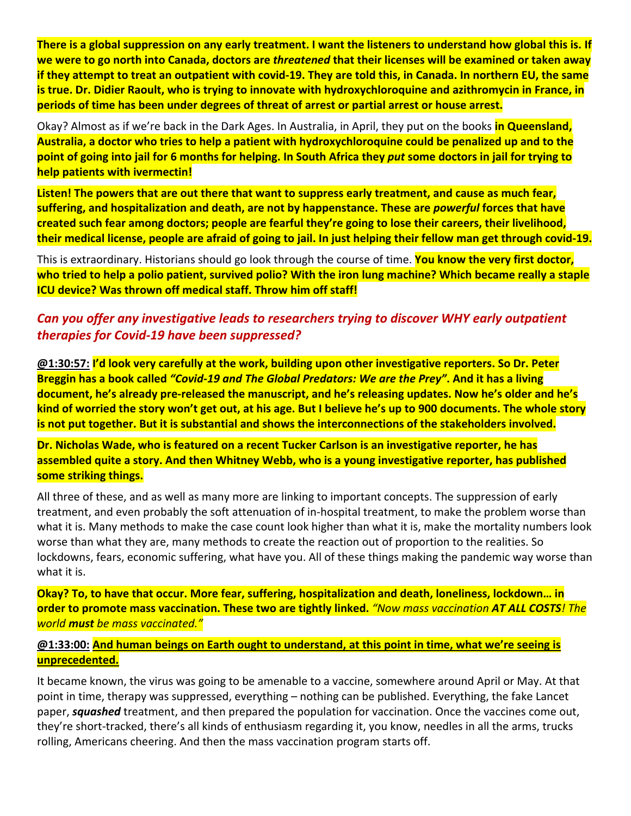**There is a global suppression on any early treatment. I want the listeners to understand how global this is. If we were to go north into Canada, doctors are** *threatened* **that their licenses will be examined or taken away if they attempt to treat an outpatient with covid‐19. They are told this, in Canada. In northern EU, the same is true. Dr. Didier Raoult, who is trying to innovate with hydroxychloroquine and azithromycin in France, in periods of time has been under degrees of threat of arrest or partial arrest or house arrest.**

Okay? Almost as if we're back in the Dark Ages. In Australia, in April, they put on the books **in Queensland, Australia, a doctor who tries to help a patient with hydroxychloroquine could be penalized up and to the point of going into jail for 6 months for helping. In South Africa they** *put* **some doctors in jail for trying to help patients with ivermectin!**

**Listen! The powers that are out there that want to suppress early treatment, and cause as much fear, suffering, and hospitalization and death, are not by happenstance. These are** *powerful* **forces that have created such fear among doctors; people are fearful they're going to lose their careers, their livelihood, their medical license, people are afraid of going to jail. In just helping their fellow man get through covid‐19.**

This is extraordinary. Historians should go look through the course of time. **You know the very first doctor, who tried to help a polio patient, survived polio? With the iron lung machine? Which became really a staple ICU device? Was thrown off medical staff. Throw him off staff!**

# *Can you offer any investigative leads to researchers trying to discover WHY early outpatient therapies for Covid‐19 have been suppressed?*

**@1:30:57: I'd look very carefully at the work, building upon other investigative reporters. So Dr. Peter Breggin has a book called** *"Covid‐19 and The Global Predators: We are the Prey"***. And it has a living document, he's already pre‐released the manuscript, and he's releasing updates. Now he's older and he's kind of worried the story won't get out, at his age. But I believe he's up to 900 documents. The whole story is not put together. But it is substantial and shows the interconnections of the stakeholders involved.**

**Dr. Nicholas Wade, who is featured on a recent Tucker Carlson is an investigative reporter, he has assembled quite a story. And then Whitney Webb, who is a young investigative reporter, has published some striking things.**

All three of these, and as well as many more are linking to important concepts. The suppression of early treatment, and even probably the soft attenuation of in‐hospital treatment, to make the problem worse than what it is. Many methods to make the case count look higher than what it is, make the mortality numbers look worse than what they are, many methods to create the reaction out of proportion to the realities. So lockdowns, fears, economic suffering, what have you. All of these things making the pandemic way worse than what it is.

**Okay? To, to have that occur. More fear, suffering, hospitalization and death, loneliness, lockdown… in order to promote mass vaccination. These two are tightly linked.** *"Now mass vaccination AT ALL COSTS! The world must be mass vaccinated."*

#### **@1:33:00: And human beings on Earth ought to understand, at this point in time, what we're seeing is unprecedented.**

It became known, the virus was going to be amenable to a vaccine, somewhere around April or May. At that point in time, therapy was suppressed, everything – nothing can be published. Everything, the fake Lancet paper, *squashed* treatment, and then prepared the population for vaccination. Once the vaccines come out, they're short‐tracked, there's all kinds of enthusiasm regarding it, you know, needles in all the arms, trucks rolling, Americans cheering. And then the mass vaccination program starts off.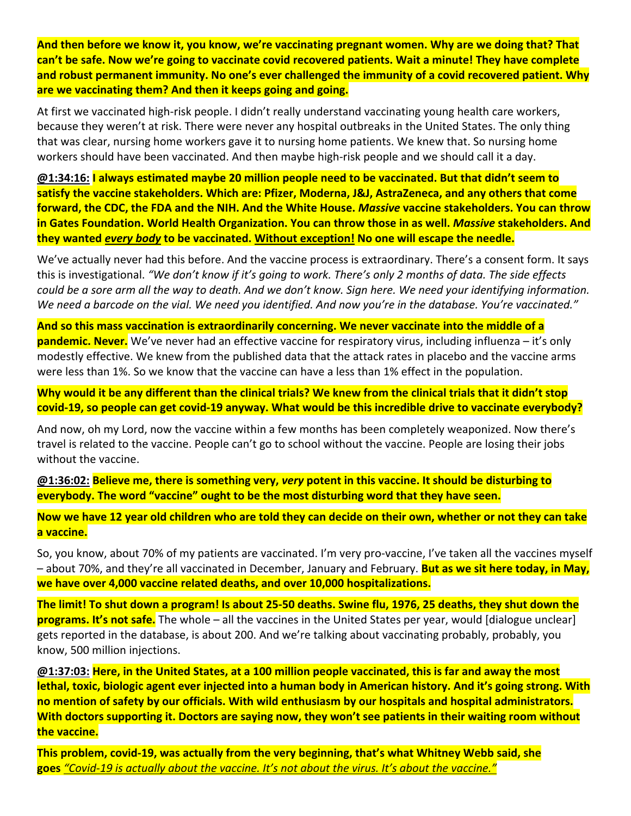**And then before we know it, you know, we're vaccinating pregnant women. Why are we doing that? That can't be safe. Now we're going to vaccinate covid recovered patients. Wait a minute! They have complete and robust permanent immunity. No one's ever challenged the immunity of a covid recovered patient. Why are we vaccinating them? And then it keeps going and going.**

At first we vaccinated high-risk people. I didn't really understand vaccinating young health care workers, because they weren't at risk. There were never any hospital outbreaks in the United States. The only thing that was clear, nursing home workers gave it to nursing home patients. We knew that. So nursing home workers should have been vaccinated. And then maybe high-risk people and we should call it a day.

**@1:34:16: I always estimated maybe 20 million people need to be vaccinated. But that didn't seem to satisfy the vaccine stakeholders. Which are: Pfizer, Moderna, J&J, AstraZeneca, and any others that come forward, the CDC, the FDA and the NIH. And the White House.** *Massive* **vaccine stakeholders. You can throw in Gates Foundation. World Health Organization. You can throw those in as well.** *Massive* **stakeholders. And they wanted** *every body* **to be vaccinated. Without exception! No one will escape the needle.**

We've actually never had this before. And the vaccine process is extraordinary. There's a consent form. It says this is investigational. *"We don't know if it's going to work. There's only 2 months of data. The side effects could be a sore arm all the way to death. And we don't know. Sign here. We need your identifying information. We need a barcode on the vial. We need you identified. And now you're in the database. You're vaccinated."*

**And so this mass vaccination is extraordinarily concerning. We never vaccinate into the middle of a pandemic. Never.** We've never had an effective vaccine for respiratory virus, including influenza – it's only modestly effective. We knew from the published data that the attack rates in placebo and the vaccine arms were less than 1%. So we know that the vaccine can have a less than 1% effect in the population.

**Why would it be any different than the clinical trials? We knew from the clinical trials that it didn't stop covid‐19, so people can get covid‐19 anyway. What would be this incredible drive to vaccinate everybody?**

And now, oh my Lord, now the vaccine within a few months has been completely weaponized. Now there's travel is related to the vaccine. People can't go to school without the vaccine. People are losing their jobs without the vaccine.

**@1:36:02: Believe me, there is something very,** *very* **potent in this vaccine. It should be disturbing to everybody. The word "vaccine" ought to be the most disturbing word that they have seen.**

**Now we have 12 year old children who are told they can decide on their own, whether or not they can take a vaccine.**

So, you know, about 70% of my patients are vaccinated. I'm very pro‐vaccine, I've taken all the vaccines myself – about 70%, and they're all vaccinated in December, January and February. **But as we sit here today, in May, we have over 4,000 vaccine related deaths, and over 10,000 hospitalizations.**

**The limit! To shut down a program! Is about 25‐50 deaths. Swine flu, 1976, 25 deaths, they shut down the programs. It's not safe.** The whole – all the vaccines in the United States per year, would [dialogue unclear] gets reported in the database, is about 200. And we're talking about vaccinating probably, probably, you know, 500 million injections.

**@1:37:03: Here, in the United States, at a 100 million people vaccinated, this is far and away the most lethal, toxic, biologic agent ever injected into a human body in American history. And it's going strong. With no mention of safety by our officials. With wild enthusiasm by our hospitals and hospital administrators. With doctors supporting it. Doctors are saying now, they won't see patients in their waiting room without the vaccine.**

**This problem, covid‐19, was actually from the very beginning, that's what Whitney Webb said, she goes** *"Covid‐19 is actually about the vaccine. It's not about the virus. It's about the vaccine."*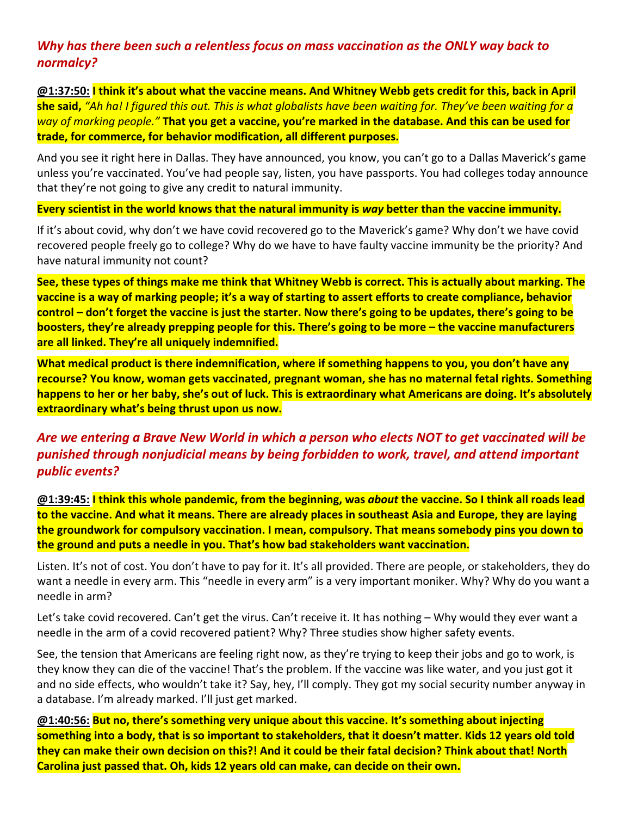# *Why has there been such a relentless focus on mass vaccination as the ONLY way back to normalcy?*

**@1:37:50: I think it's about what the vaccine means. And Whitney Webb gets credit for this, back in April she said,** *"Ah ha! I figured this out. This is what globalists have been waiting for. They've been waiting for a way of marking people."* **That you get a vaccine, you're marked in the database. And this can be used for trade, for commerce, for behavior modification, all different purposes.**

And you see it right here in Dallas. They have announced, you know, you can't go to a Dallas Maverick's game unless you're vaccinated. You've had people say, listen, you have passports. You had colleges today announce that they're not going to give any credit to natural immunity.

**Every scientist in the world knows that the natural immunity is** *way* **better than the vaccine immunity.**

If it's about covid, why don't we have covid recovered go to the Maverick's game? Why don't we have covid recovered people freely go to college? Why do we have to have faulty vaccine immunity be the priority? And have natural immunity not count?

**See, these types of things make me think that Whitney Webb is correct. This is actually about marking. The vaccine is a way of marking people; it's a way of starting to assert efforts to create compliance, behavior control – don't forget the vaccine is just the starter. Now there's going to be updates, there's going to be boosters, they're already prepping people for this. There's going to be more – the vaccine manufacturers are all linked. They're all uniquely indemnified.**

**What medical product is there indemnification, where if something happens to you, you don't have any recourse? You know, woman gets vaccinated, pregnant woman, she has no maternal fetal rights. Something happens to her or her baby, she's out of luck. This is extraordinary what Americans are doing. It's absolutely extraordinary what's being thrust upon us now.**

# *Are we entering a Brave New World in which a person who elects NOT to get vaccinated will be punished through nonjudicial means by being forbidden to work, travel, and attend important public events?*

**@1:39:45: I think this whole pandemic, from the beginning, was** *about* **the vaccine. So I think all roads lead to the vaccine. And what it means. There are already places in southeast Asia and Europe, they are laying the groundwork for compulsory vaccination. I mean, compulsory. That means somebody pins you down to the ground and puts a needle in you. That's how bad stakeholders want vaccination.**

Listen. It's not of cost. You don't have to pay for it. It's all provided. There are people, or stakeholders, they do want a needle in every arm. This "needle in every arm" is a very important moniker. Why? Why do you want a needle in arm?

Let's take covid recovered. Can't get the virus. Can't receive it. It has nothing – Why would they ever want a needle in the arm of a covid recovered patient? Why? Three studies show higher safety events.

See, the tension that Americans are feeling right now, as they're trying to keep their jobs and go to work, is they know they can die of the vaccine! That's the problem. If the vaccine was like water, and you just got it and no side effects, who wouldn't take it? Say, hey, I'll comply. They got my social security number anyway in a database. I'm already marked. I'll just get marked.

**@1:40:56: But no, there's something very unique about this vaccine. It's something about injecting something into a body, that is so important to stakeholders, that it doesn't matter. Kids 12 years old told they can make their own decision on this?! And it could be their fatal decision? Think about that! North Carolina just passed that. Oh, kids 12 years old can make, can decide on their own.**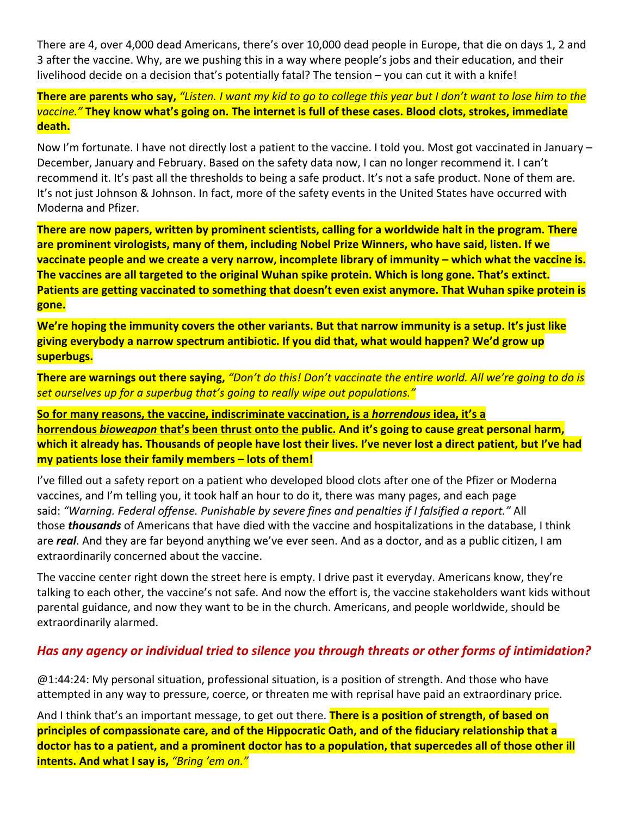There are 4, over 4,000 dead Americans, there's over 10,000 dead people in Europe, that die on days 1, 2 and 3 after the vaccine. Why, are we pushing this in a way where people's jobs and their education, and their livelihood decide on a decision that's potentially fatal? The tension – you can cut it with a knife!

**There are parents who say,** *"Listen. I want my kid to go to college this year but I don't want to lose him to the vaccine."* **They know what's going on. The internet is full of these cases. Blood clots, strokes, immediate death.**

Now I'm fortunate. I have not directly lost a patient to the vaccine. I told you. Most got vaccinated in January – December, January and February. Based on the safety data now, I can no longer recommend it. I can't recommend it. It's past all the thresholds to being a safe product. It's not a safe product. None of them are. It's not just Johnson & Johnson. In fact, more of the safety events in the United States have occurred with Moderna and Pfizer.

**There are now papers, written by prominent scientists, calling for a worldwide halt in the program. There are prominent virologists, many of them, including Nobel Prize Winners, who have said, listen. If we vaccinate people and we create a very narrow, incomplete library of immunity – which what the vaccine is. The vaccines are all targeted to the original Wuhan spike protein. Which is long gone. That's extinct. Patients are getting vaccinated to something that doesn't even exist anymore. That Wuhan spike protein is gone.**

**We're hoping the immunity covers the other variants. But that narrow immunity is a setup. It's just like giving everybody a narrow spectrum antibiotic. If you did that, what would happen? We'd grow up superbugs.**

**There are warnings out there saying,** *"Don't do this! Don't vaccinate the entire world. All we're going to do is set ourselves up for a superbug that's going to really wipe out populations."*

**So for many reasons, the vaccine, indiscriminate vaccination, is a** *horrendous* **idea, it's a horrendous** *bioweapon* **that's been thrust onto the public. And it's going to cause great personal harm, which it already has. Thousands of people have lost their lives. I've never lost a direct patient, but I've had my patients lose their family members – lots of them!**

I've filled out a safety report on a patient who developed blood clots after one of the Pfizer or Moderna vaccines, and I'm telling you, it took half an hour to do it, there was many pages, and each page said: *"Warning. Federal offense. Punishable by severe fines and penalties if I falsified a report."* All those *thousands* of Americans that have died with the vaccine and hospitalizations in the database, I think are *real*. And they are far beyond anything we've ever seen. And as a doctor, and as a public citizen, I am extraordinarily concerned about the vaccine.

The vaccine center right down the street here is empty. I drive past it everyday. Americans know, they're talking to each other, the vaccine's not safe. And now the effort is, the vaccine stakeholders want kids without parental guidance, and now they want to be in the church. Americans, and people worldwide, should be extraordinarily alarmed.

#### *Has any agency or individual tried to silence you through threats or other forms of intimidation?*

@1:44:24: My personal situation, professional situation, is a position of strength. And those who have attempted in any way to pressure, coerce, or threaten me with reprisal have paid an extraordinary price.

And I think that's an important message, to get out there. **There is a position of strength, of based on principles of compassionate care, and of the Hippocratic Oath, and of the fiduciary relationship that a doctor has to a patient, and a prominent doctor has to a population, that supercedes all of those other ill intents. And what I say is,** *"Bring 'em on."*